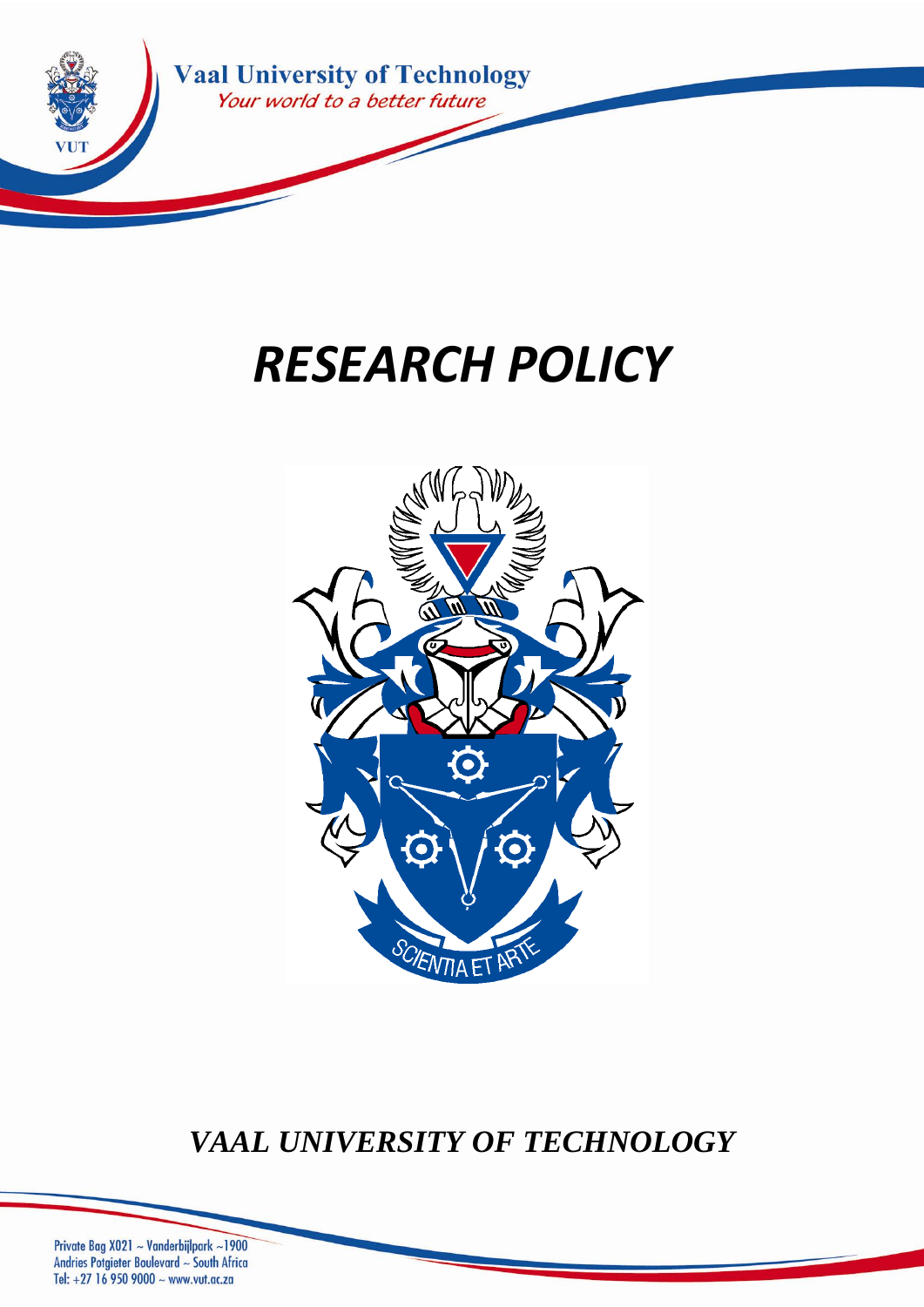

# *RESEARCH POLICY*



*VAAL UNIVERSITY OF TECHNOLOGY*

Private Bag X021 ~ Vanderbijlpark ~1900 Andries Potgieter Boulevard ~ South Africa Tel: +27 16 950 9000 ~ www.vut.ac.za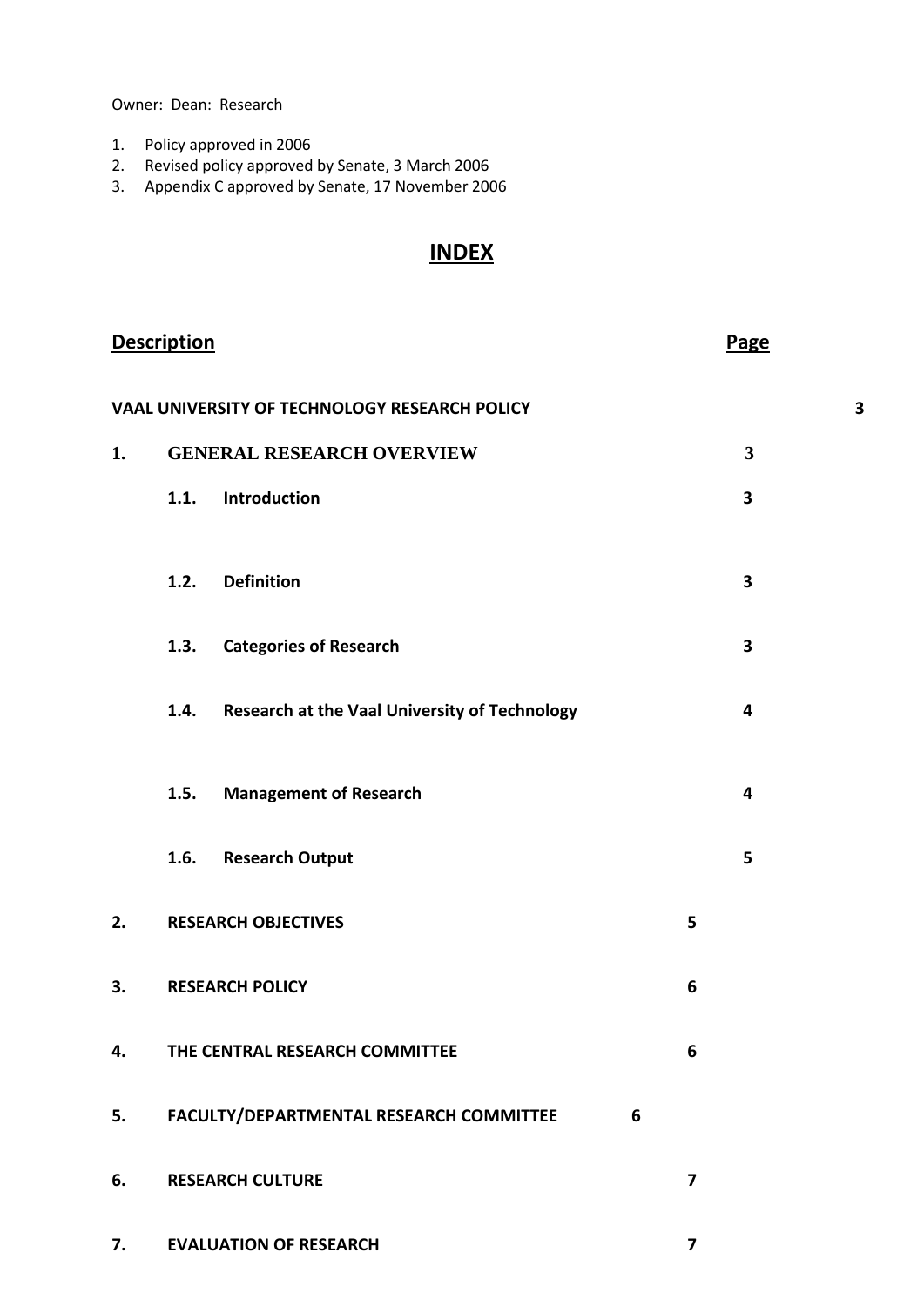Owner: Dean: Research

- 1. Policy approved in 2006
- 2. Revised policy approved by Senate, 3 March 2006
- 3. Appendix C approved by Senate, 17 November 2006

# **INDEX**

| <b>Description</b> |                                  |                                                |   | <b>Page</b>             |   |  |
|--------------------|----------------------------------|------------------------------------------------|---|-------------------------|---|--|
|                    |                                  | VAAL UNIVERSITY OF TECHNOLOGY RESEARCH POLICY  |   |                         | 3 |  |
| 1.                 | <b>GENERAL RESEARCH OVERVIEW</b> |                                                |   | $\overline{\mathbf{3}}$ |   |  |
|                    | 1.1.                             | Introduction                                   |   | $\overline{\mathbf{3}}$ |   |  |
|                    | 1.2.                             | <b>Definition</b>                              |   | $\overline{\mathbf{3}}$ |   |  |
|                    | 1.3.                             | <b>Categories of Research</b>                  |   | $\overline{\mathbf{3}}$ |   |  |
|                    | 1.4.                             | Research at the Vaal University of Technology  |   | 4                       |   |  |
|                    | 1.5.                             | <b>Management of Research</b>                  |   | 4                       |   |  |
|                    | 1.6.                             | <b>Research Output</b>                         |   | 5                       |   |  |
| 2.                 |                                  | <b>RESEARCH OBJECTIVES</b>                     |   | 5                       |   |  |
| 3.                 | <b>RESEARCH POLICY</b>           |                                                |   | 6                       |   |  |
| 4.                 | THE CENTRAL RESEARCH COMMITTEE   |                                                |   | 6                       |   |  |
| 5.                 |                                  | <b>FACULTY/DEPARTMENTAL RESEARCH COMMITTEE</b> | 6 |                         |   |  |
| 6.                 | <b>RESEARCH CULTURE</b>          |                                                |   | $\overline{7}$          |   |  |
| 7.                 | <b>EVALUATION OF RESEARCH</b>    |                                                |   | $\overline{\mathbf{z}}$ |   |  |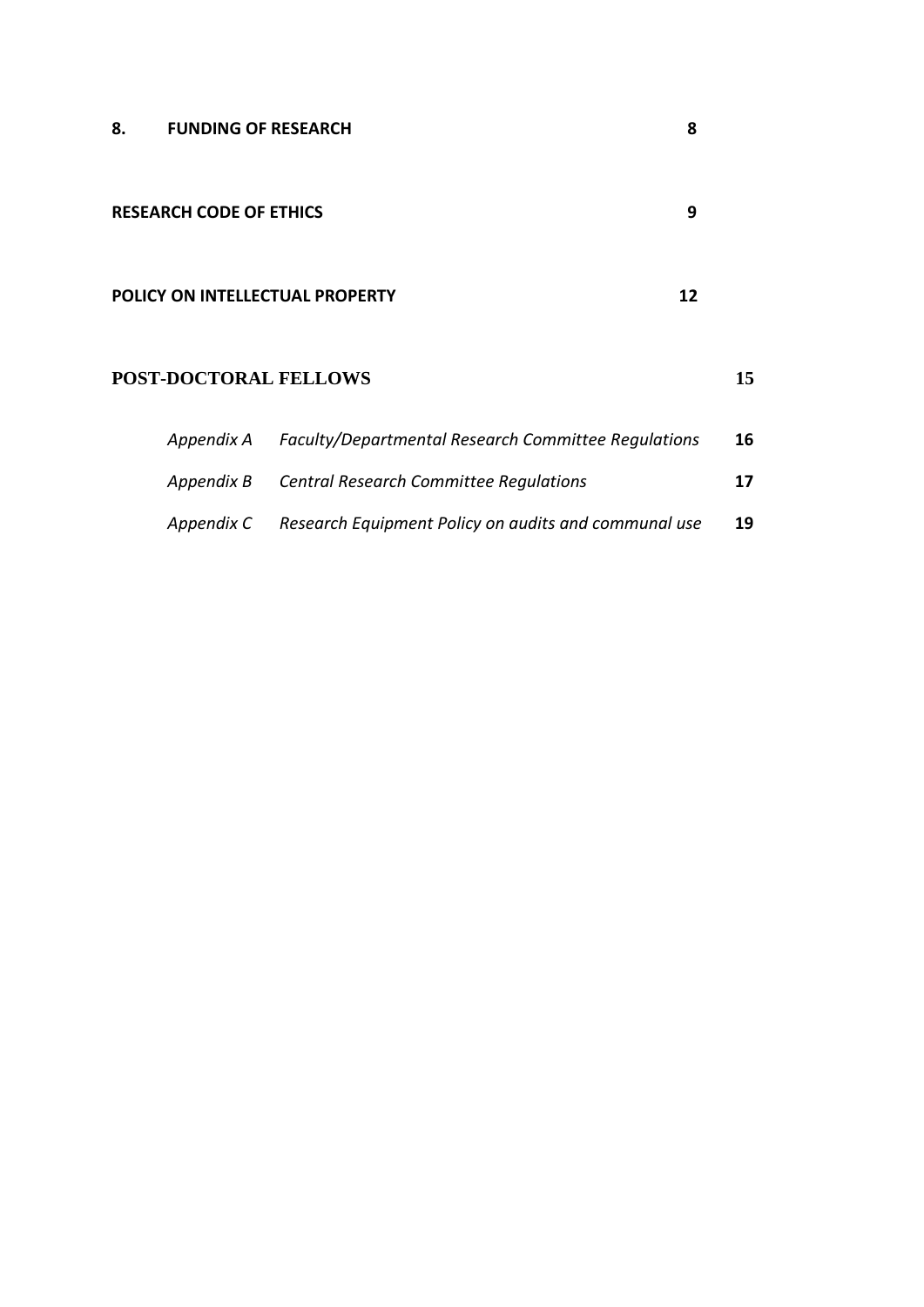| 8. | <b>FUNDING OF RESEARCH</b>     | 8                                                              |    |
|----|--------------------------------|----------------------------------------------------------------|----|
|    | <b>RESEARCH CODE OF ETHICS</b> | 9                                                              |    |
|    |                                | POLICY ON INTELLECTUAL PROPERTY<br>12                          |    |
|    | <b>POST-DOCTORAL FELLOWS</b>   |                                                                | 15 |
|    |                                | Appendix A Faculty/Departmental Research Committee Regulations | 16 |
|    |                                | Appendix B Central Research Committee Regulations              | 17 |

*Appendix C Research Equipment Policy on audits and communal use* **19**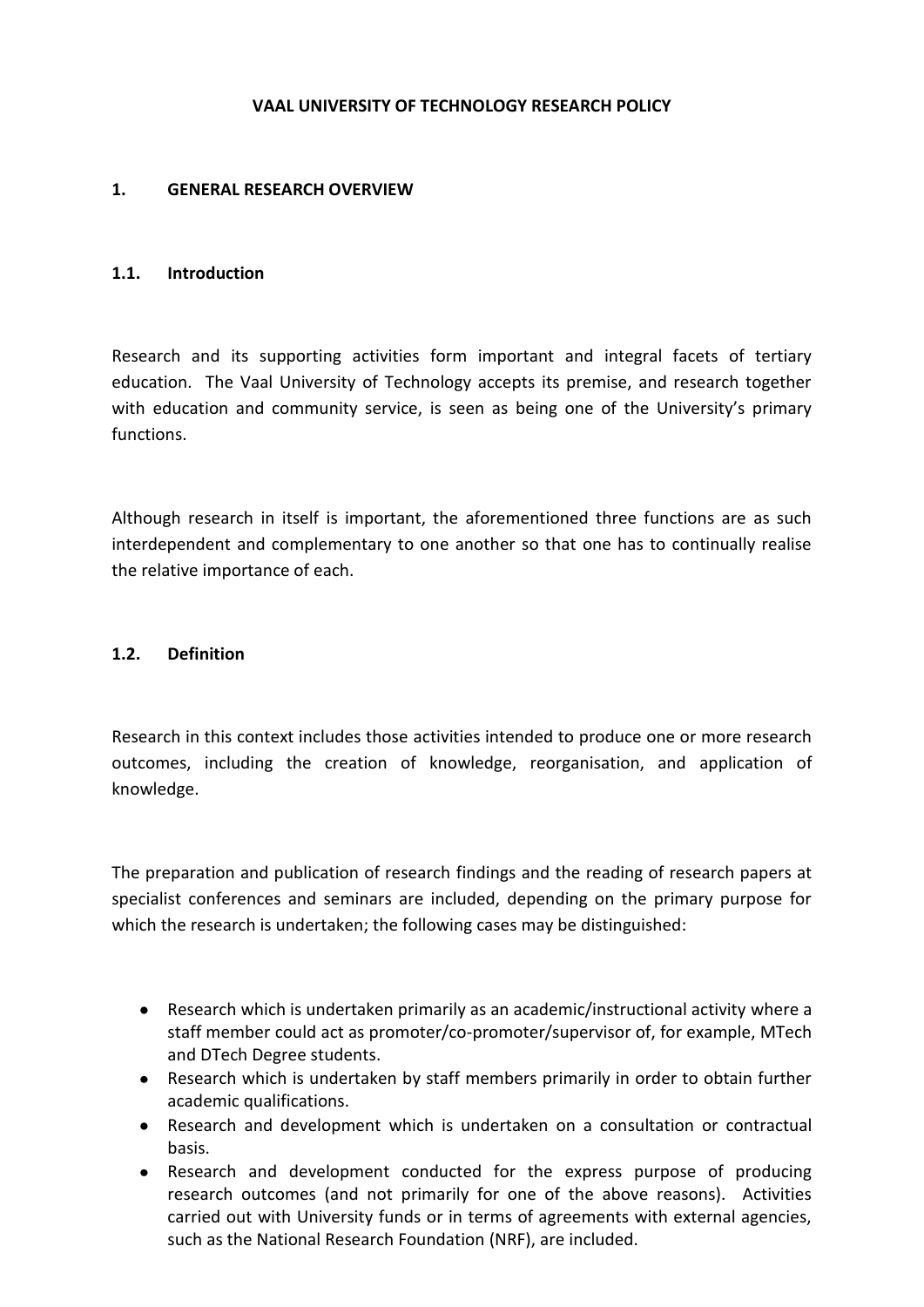#### **VAAL UNIVERSITY OF TECHNOLOGY RESEARCH POLICY**

#### **1. GENERAL RESEARCH OVERVIEW**

#### **1.1. Introduction**

Research and its supporting activities form important and integral facets of tertiary education. The Vaal University of Technology accepts its premise, and research together with education and community service, is seen as being one of the University's primary functions.

Although research in itself is important, the aforementioned three functions are as such interdependent and complementary to one another so that one has to continually realise the relative importance of each.

#### **1.2. Definition**

Research in this context includes those activities intended to produce one or more research outcomes, including the creation of knowledge, reorganisation, and application of knowledge.

The preparation and publication of research findings and the reading of research papers at specialist conferences and seminars are included, depending on the primary purpose for which the research is undertaken; the following cases may be distinguished:

- Research which is undertaken primarily as an academic/instructional activity where a staff member could act as promoter/co-promoter/supervisor of, for example, MTech and DTech Degree students.
- Research which is undertaken by staff members primarily in order to obtain further academic qualifications.
- Research and development which is undertaken on a consultation or contractual basis.
- Research and development conducted for the express purpose of producing research outcomes (and not primarily for one of the above reasons). Activities carried out with University funds or in terms of agreements with external agencies, such as the National Research Foundation (NRF), are included.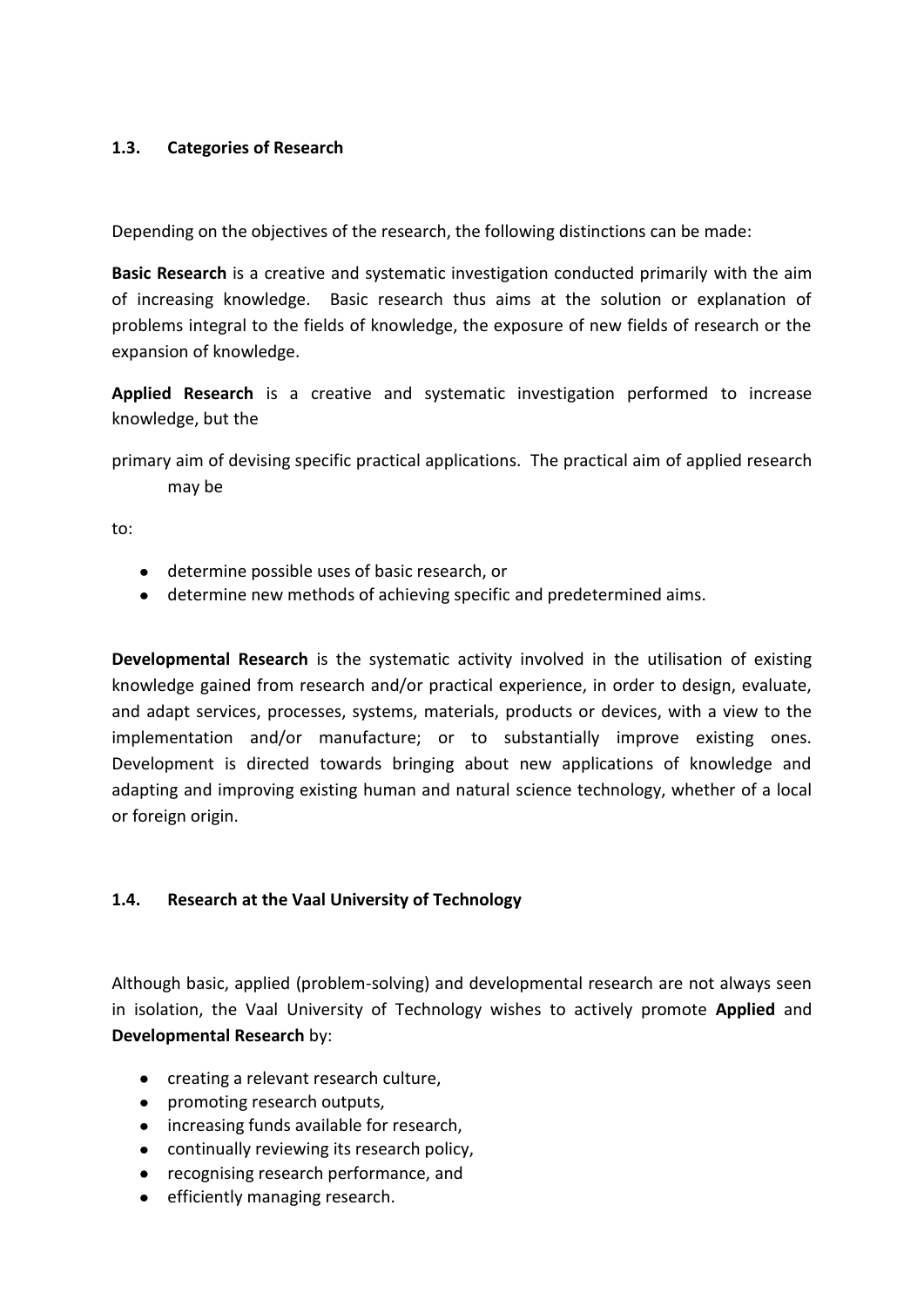# **1.3. Categories of Research**

Depending on the objectives of the research, the following distinctions can be made:

**Basic Research** is a creative and systematic investigation conducted primarily with the aim of increasing knowledge. Basic research thus aims at the solution or explanation of problems integral to the fields of knowledge, the exposure of new fields of research or the expansion of knowledge.

**Applied Research** is a creative and systematic investigation performed to increase knowledge, but the

primary aim of devising specific practical applications. The practical aim of applied research may be

to:

- determine possible uses of basic research, or
- determine new methods of achieving specific and predetermined aims.

**Developmental Research** is the systematic activity involved in the utilisation of existing knowledge gained from research and/or practical experience, in order to design, evaluate, and adapt services, processes, systems, materials, products or devices, with a view to the implementation and/or manufacture; or to substantially improve existing ones. Development is directed towards bringing about new applications of knowledge and adapting and improving existing human and natural science technology, whether of a local or foreign origin.

# **1.4. Research at the Vaal University of Technology**

Although basic, applied (problem-solving) and developmental research are not always seen in isolation, the Vaal University of Technology wishes to actively promote **Applied** and **Developmental Research** by:

- creating a relevant research culture,
- promoting research outputs,
- increasing funds available for research,
- continually reviewing its research policy,
- recognising research performance, and
- efficiently managing research.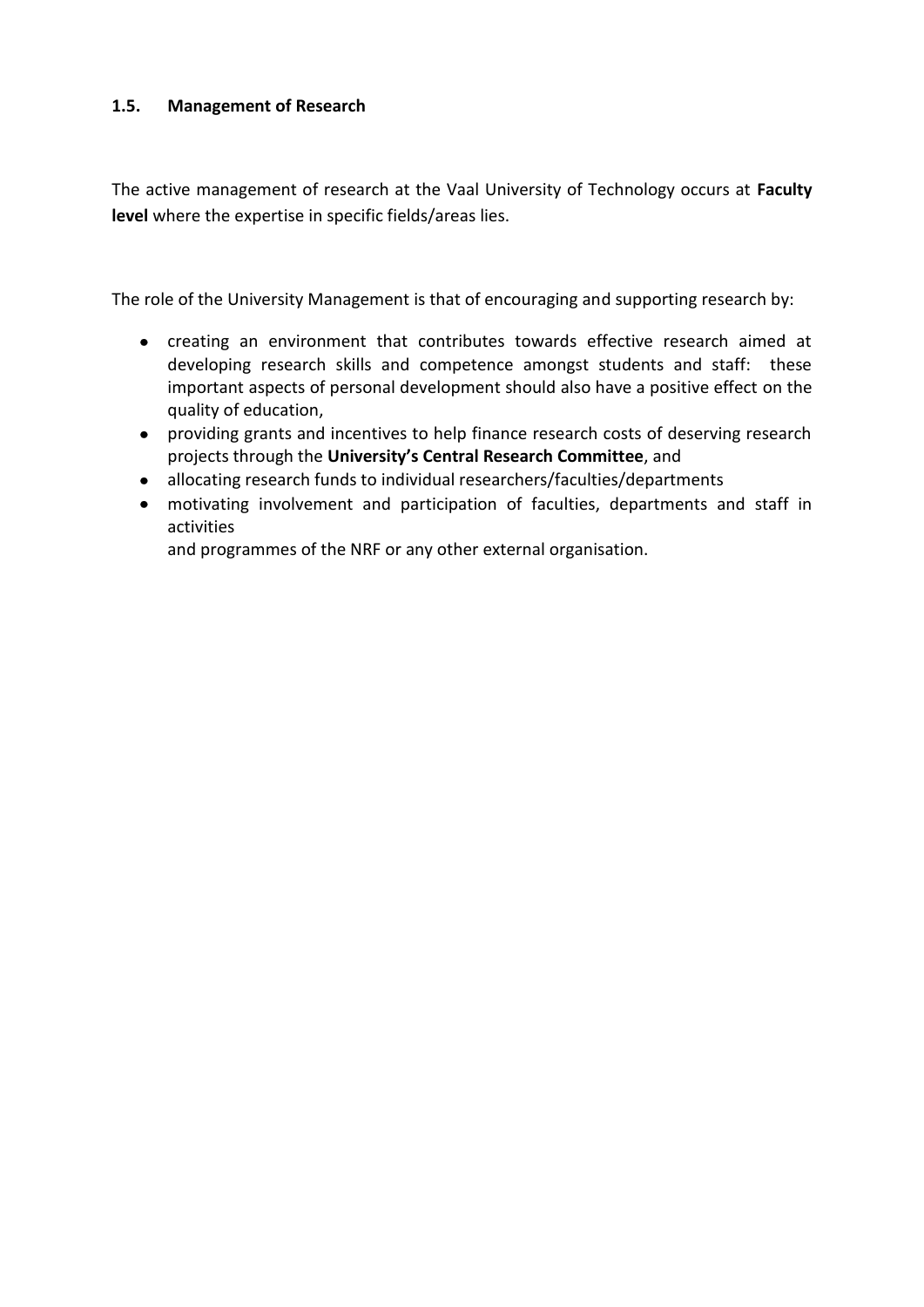#### **1.5. Management of Research**

The active management of research at the Vaal University of Technology occurs at **Faculty level** where the expertise in specific fields/areas lies.

The role of the University Management is that of encouraging and supporting research by:

- creating an environment that contributes towards effective research aimed at developing research skills and competence amongst students and staff: these important aspects of personal development should also have a positive effect on the quality of education,
- providing grants and incentives to help finance research costs of deserving research projects through the **University's Central Research Committee**, and
- allocating research funds to individual researchers/faculties/departments
- motivating involvement and participation of faculties, departments and staff in activities

and programmes of the NRF or any other external organisation.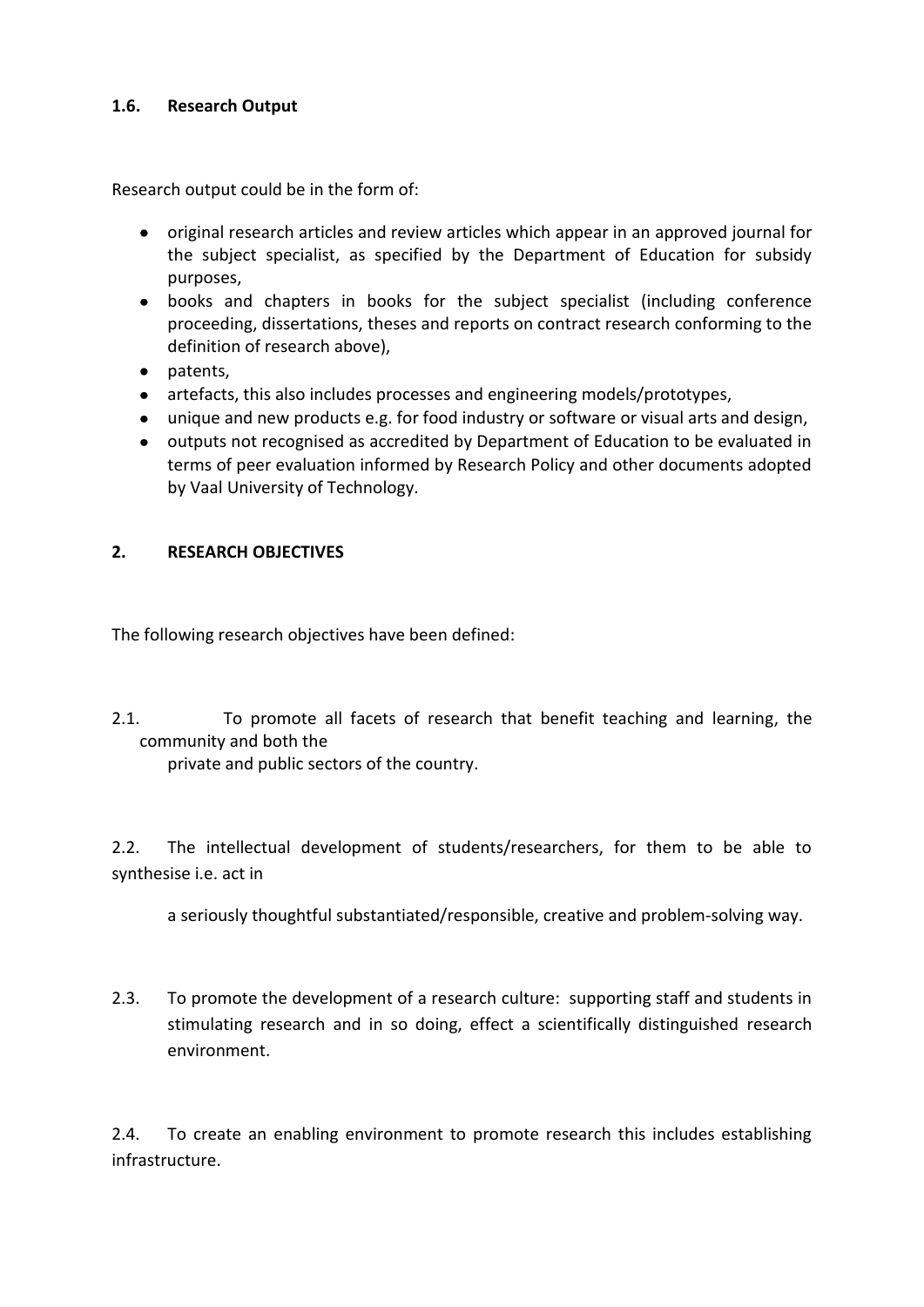#### **1.6. Research Output**

Research output could be in the form of:

- original research articles and review articles which appear in an approved journal for the subject specialist, as specified by the Department of Education for subsidy purposes,
- books and chapters in books for the subject specialist (including conference proceeding, dissertations, theses and reports on contract research conforming to the definition of research above),
- patents,
- artefacts, this also includes processes and engineering models/prototypes,  $\bullet$
- unique and new products e.g. for food industry or software or visual arts and design,  $\bullet$
- outputs not recognised as accredited by Department of Education to be evaluated in terms of peer evaluation informed by Research Policy and other documents adopted by Vaal University of Technology.

#### **2. RESEARCH OBJECTIVES**

The following research objectives have been defined:

2.1. To promote all facets of research that benefit teaching and learning, the community and both the

private and public sectors of the country.

2.2. The intellectual development of students/researchers, for them to be able to synthesise i.e. act in

a seriously thoughtful substantiated/responsible, creative and problem-solving way.

2.3. To promote the development of a research culture: supporting staff and students in stimulating research and in so doing, effect a scientifically distinguished research environment.

2.4. To create an enabling environment to promote research this includes establishing infrastructure.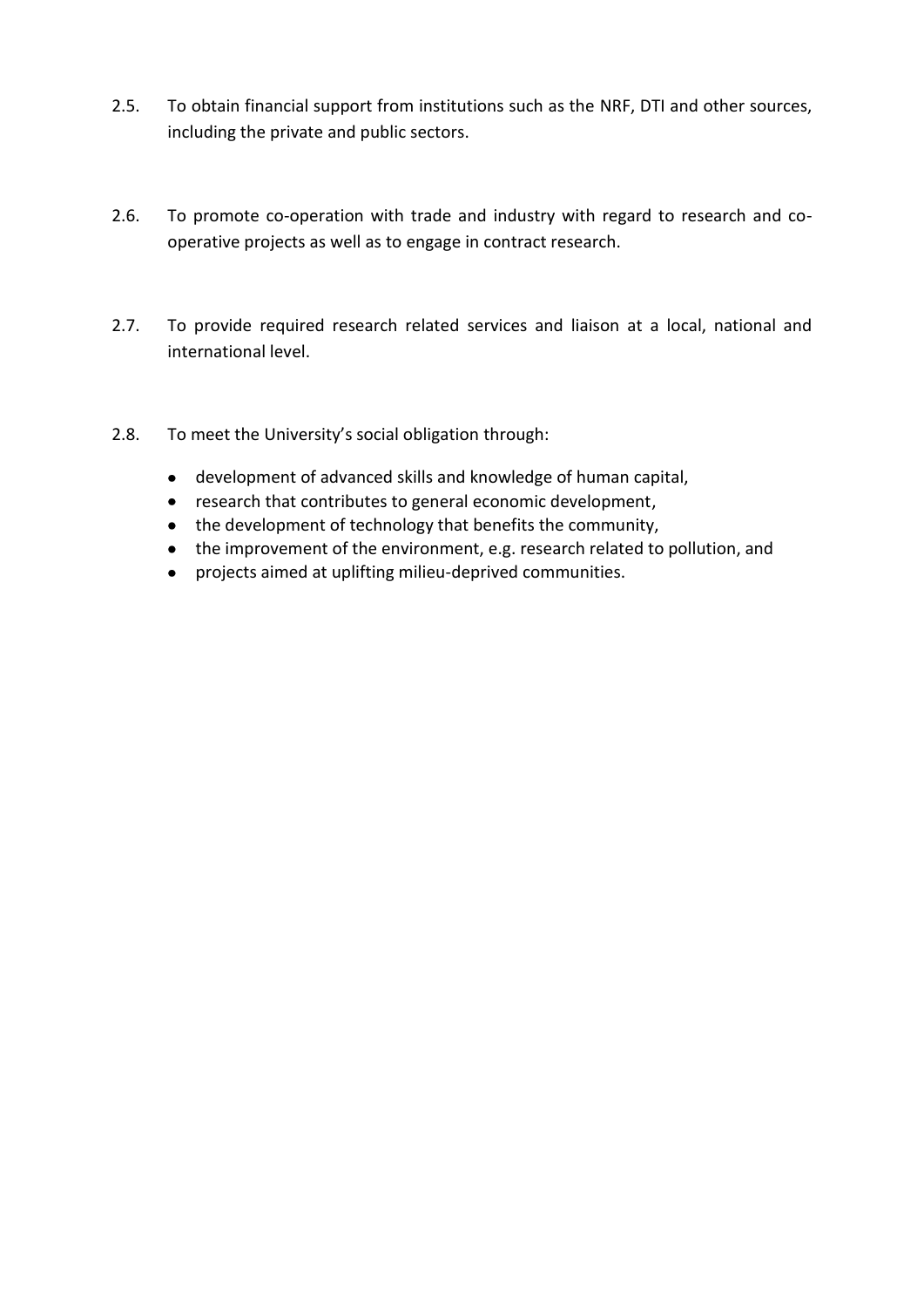- 2.5. To obtain financial support from institutions such as the NRF, DTI and other sources, including the private and public sectors.
- 2.6. To promote co-operation with trade and industry with regard to research and cooperative projects as well as to engage in contract research.
- 2.7. To provide required research related services and liaison at a local, national and international level.
- 2.8. To meet the University's social obligation through:
	- development of advanced skills and knowledge of human capital,
	- research that contributes to general economic development,
	- the development of technology that benefits the community,
	- the improvement of the environment, e.g. research related to pollution, and
	- projects aimed at uplifting milieu-deprived communities.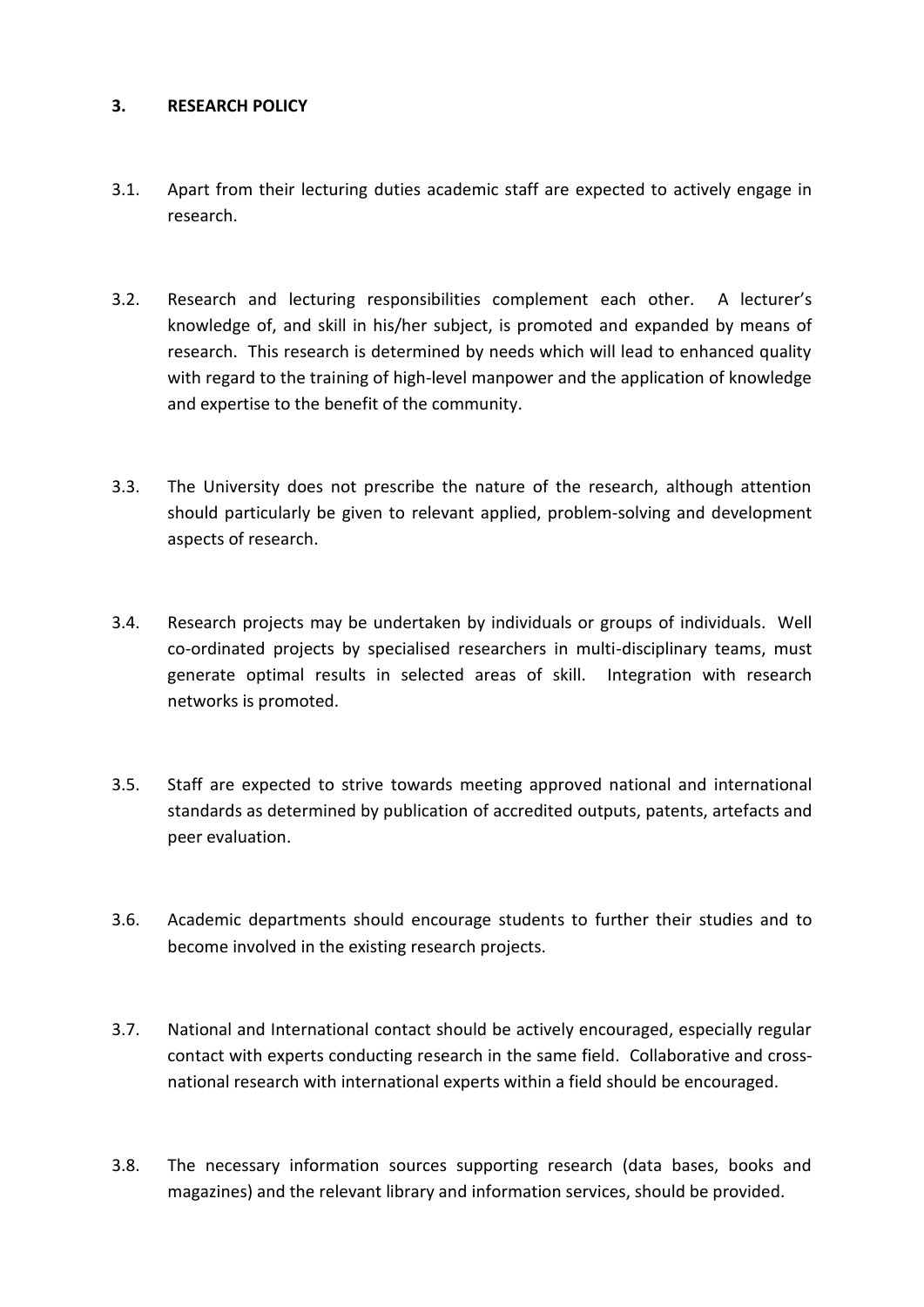#### **3. RESEARCH POLICY**

- 3.1. Apart from their lecturing duties academic staff are expected to actively engage in research.
- 3.2. Research and lecturing responsibilities complement each other. A lecturer's knowledge of, and skill in his/her subject, is promoted and expanded by means of research. This research is determined by needs which will lead to enhanced quality with regard to the training of high-level manpower and the application of knowledge and expertise to the benefit of the community.
- 3.3. The University does not prescribe the nature of the research, although attention should particularly be given to relevant applied, problem-solving and development aspects of research.
- 3.4. Research projects may be undertaken by individuals or groups of individuals. Well co-ordinated projects by specialised researchers in multi-disciplinary teams, must generate optimal results in selected areas of skill. Integration with research networks is promoted.
- 3.5. Staff are expected to strive towards meeting approved national and international standards as determined by publication of accredited outputs, patents, artefacts and peer evaluation.
- 3.6. Academic departments should encourage students to further their studies and to become involved in the existing research projects.
- 3.7. National and International contact should be actively encouraged, especially regular contact with experts conducting research in the same field. Collaborative and crossnational research with international experts within a field should be encouraged.
- 3.8. The necessary information sources supporting research (data bases, books and magazines) and the relevant library and information services, should be provided.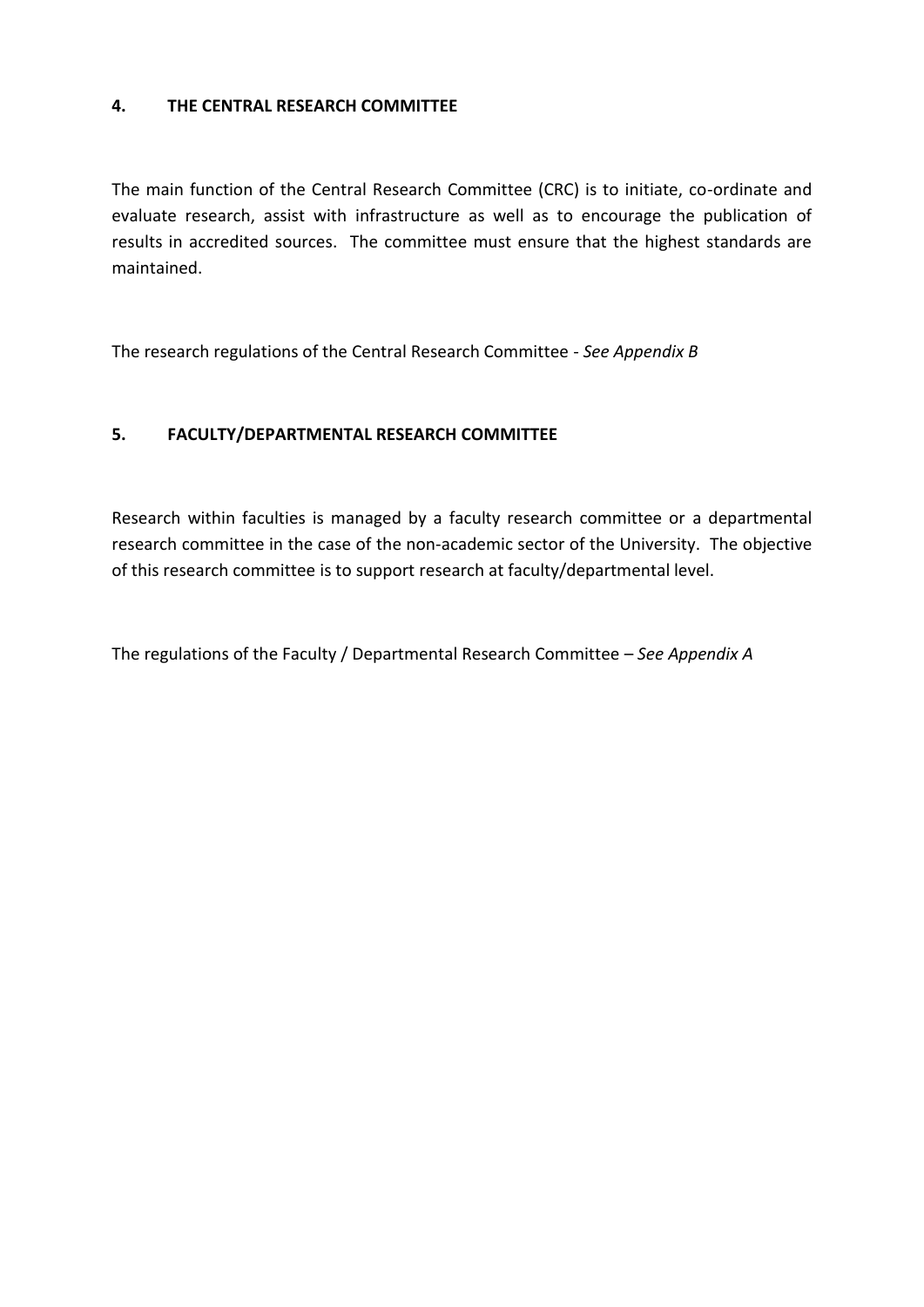#### **4. THE CENTRAL RESEARCH COMMITTEE**

The main function of the Central Research Committee (CRC) is to initiate, co-ordinate and evaluate research, assist with infrastructure as well as to encourage the publication of results in accredited sources. The committee must ensure that the highest standards are maintained.

The research regulations of the Central Research Committee - *See Appendix B*

# **5. FACULTY/DEPARTMENTAL RESEARCH COMMITTEE**

Research within faculties is managed by a faculty research committee or a departmental research committee in the case of the non-academic sector of the University. The objective of this research committee is to support research at faculty/departmental level.

The regulations of the Faculty / Departmental Research Committee – *See Appendix A*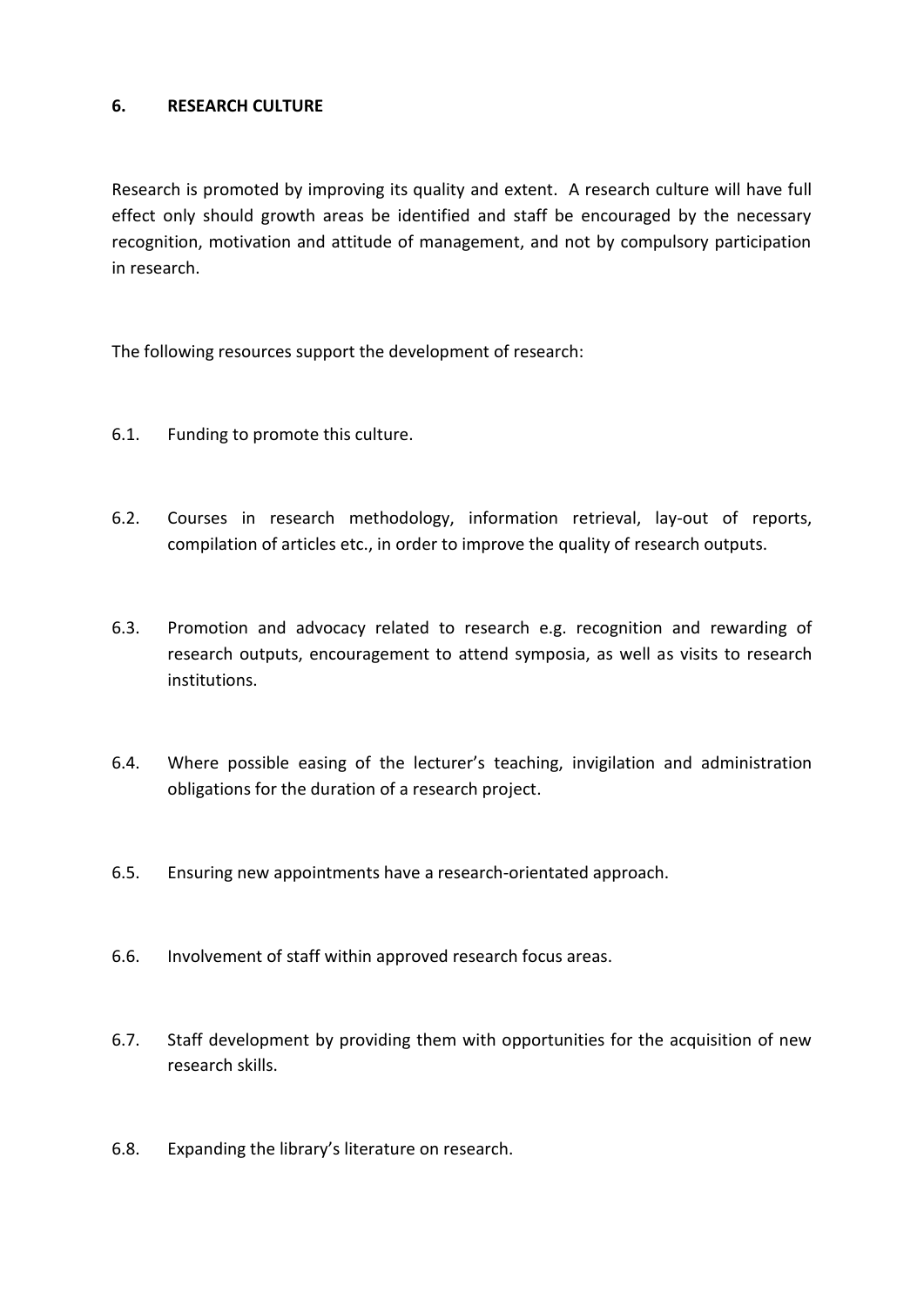#### **6. RESEARCH CULTURE**

Research is promoted by improving its quality and extent. A research culture will have full effect only should growth areas be identified and staff be encouraged by the necessary recognition, motivation and attitude of management, and not by compulsory participation in research.

The following resources support the development of research:

- 6.1. Funding to promote this culture.
- 6.2. Courses in research methodology, information retrieval, lay-out of reports, compilation of articles etc., in order to improve the quality of research outputs.
- 6.3. Promotion and advocacy related to research e.g. recognition and rewarding of research outputs, encouragement to attend symposia, as well as visits to research institutions.
- 6.4. Where possible easing of the lecturer's teaching, invigilation and administration obligations for the duration of a research project.
- 6.5. Ensuring new appointments have a research-orientated approach.
- 6.6. Involvement of staff within approved research focus areas.
- 6.7. Staff development by providing them with opportunities for the acquisition of new research skills.
- 6.8. Expanding the library's literature on research.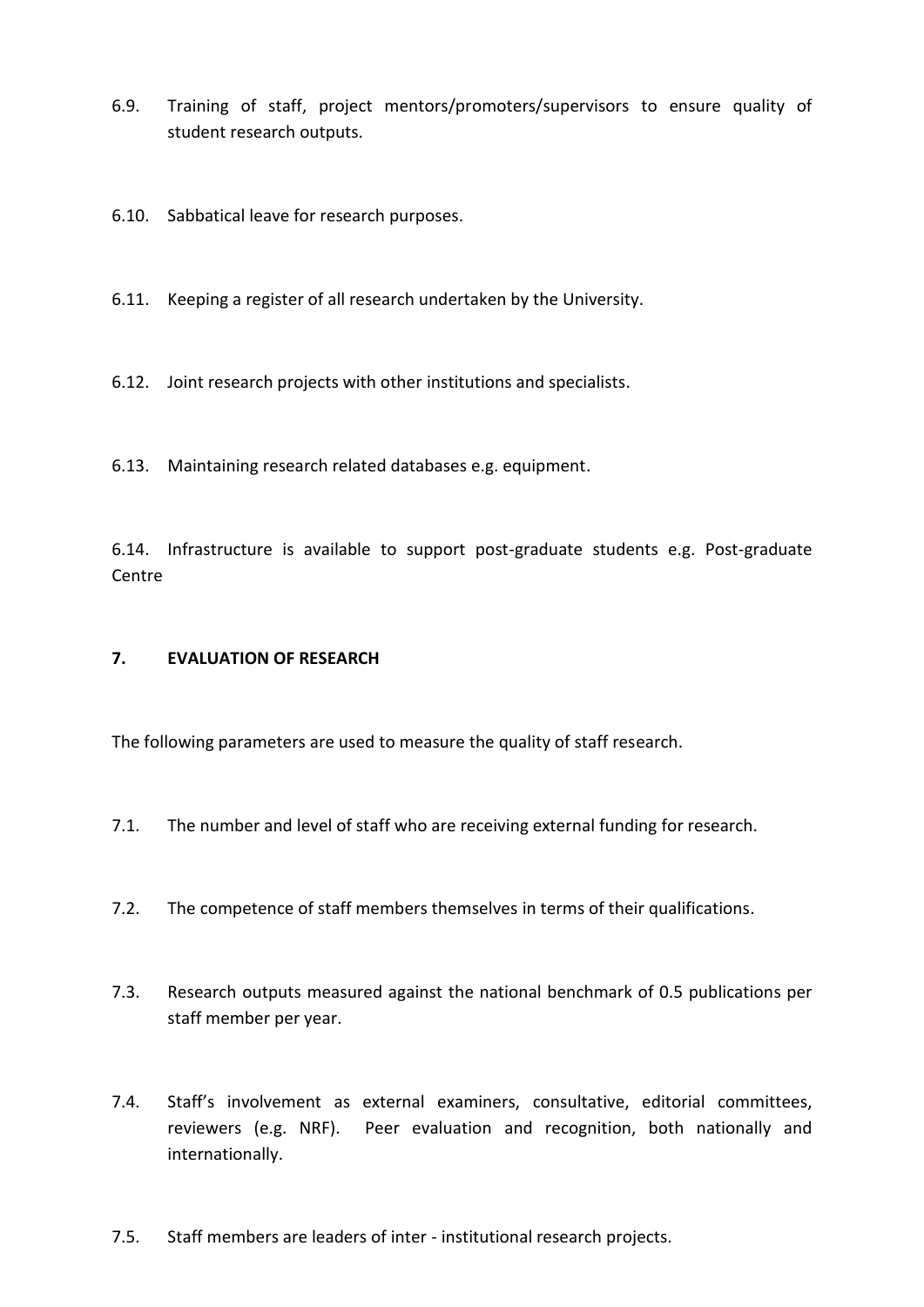- 6.9. Training of staff, project mentors/promoters/supervisors to ensure quality of student research outputs.
- 6.10. Sabbatical leave for research purposes.
- 6.11. Keeping a register of all research undertaken by the University.
- 6.12. Joint research projects with other institutions and specialists.
- 6.13. Maintaining research related databases e.g. equipment.

6.14. Infrastructure is available to support post-graduate students e.g. Post-graduate Centre

#### **7. EVALUATION OF RESEARCH**

The following parameters are used to measure the quality of staff research.

- 7.1. The number and level of staff who are receiving external funding for research.
- 7.2. The competence of staff members themselves in terms of their qualifications.
- 7.3. Research outputs measured against the national benchmark of 0.5 publications per staff member per year.
- 7.4. Staff's involvement as external examiners, consultative, editorial committees, reviewers (e.g. NRF). Peer evaluation and recognition, both nationally and internationally.
- 7.5. Staff members are leaders of inter institutional research projects.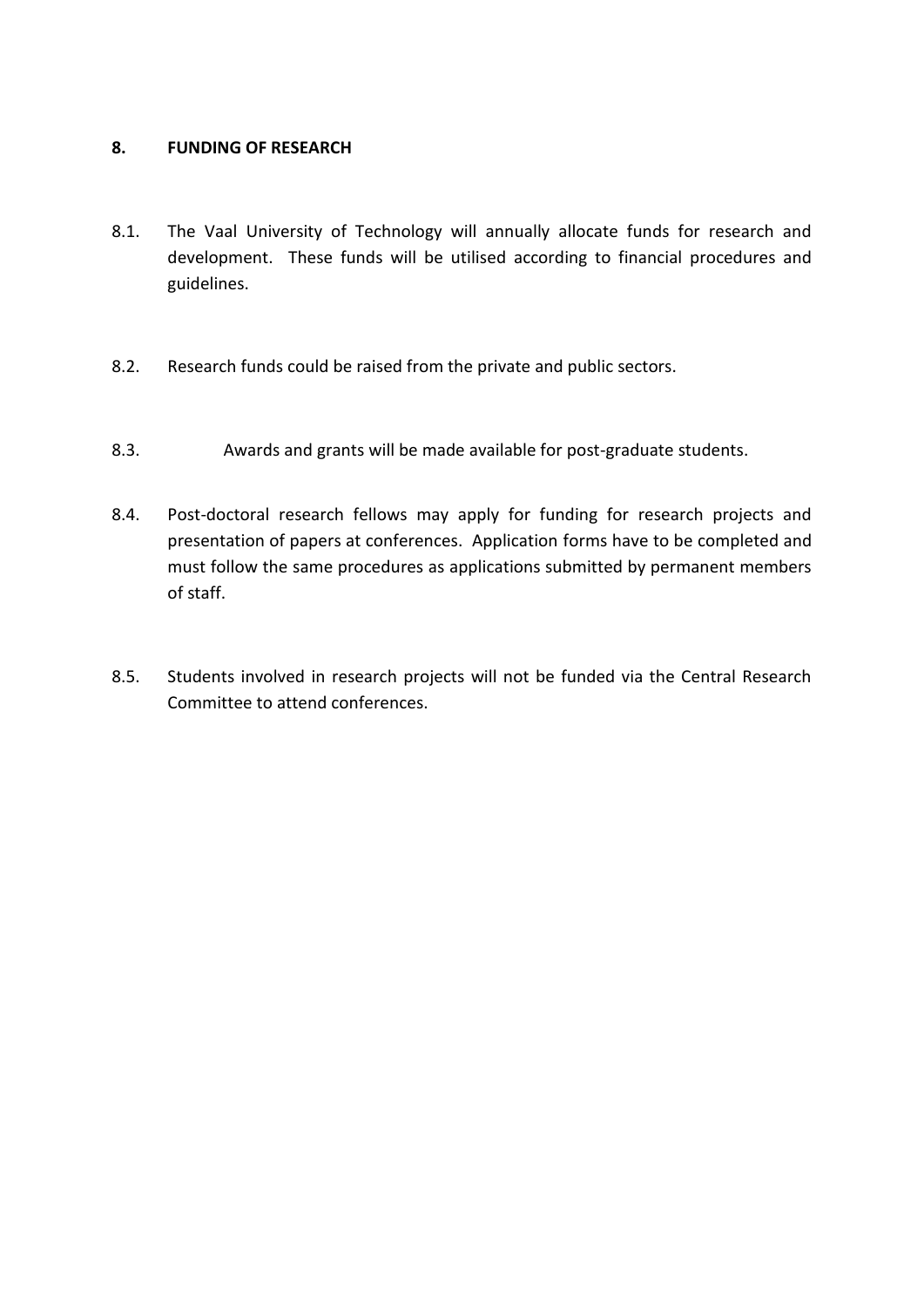# **8. FUNDING OF RESEARCH**

- 8.1. The Vaal University of Technology will annually allocate funds for research and development. These funds will be utilised according to financial procedures and guidelines.
- 8.2. Research funds could be raised from the private and public sectors.
- 8.3. Awards and grants will be made available for post-graduate students.
- 8.4. Post-doctoral research fellows may apply for funding for research projects and presentation of papers at conferences. Application forms have to be completed and must follow the same procedures as applications submitted by permanent members of staff.
- 8.5. Students involved in research projects will not be funded via the Central Research Committee to attend conferences.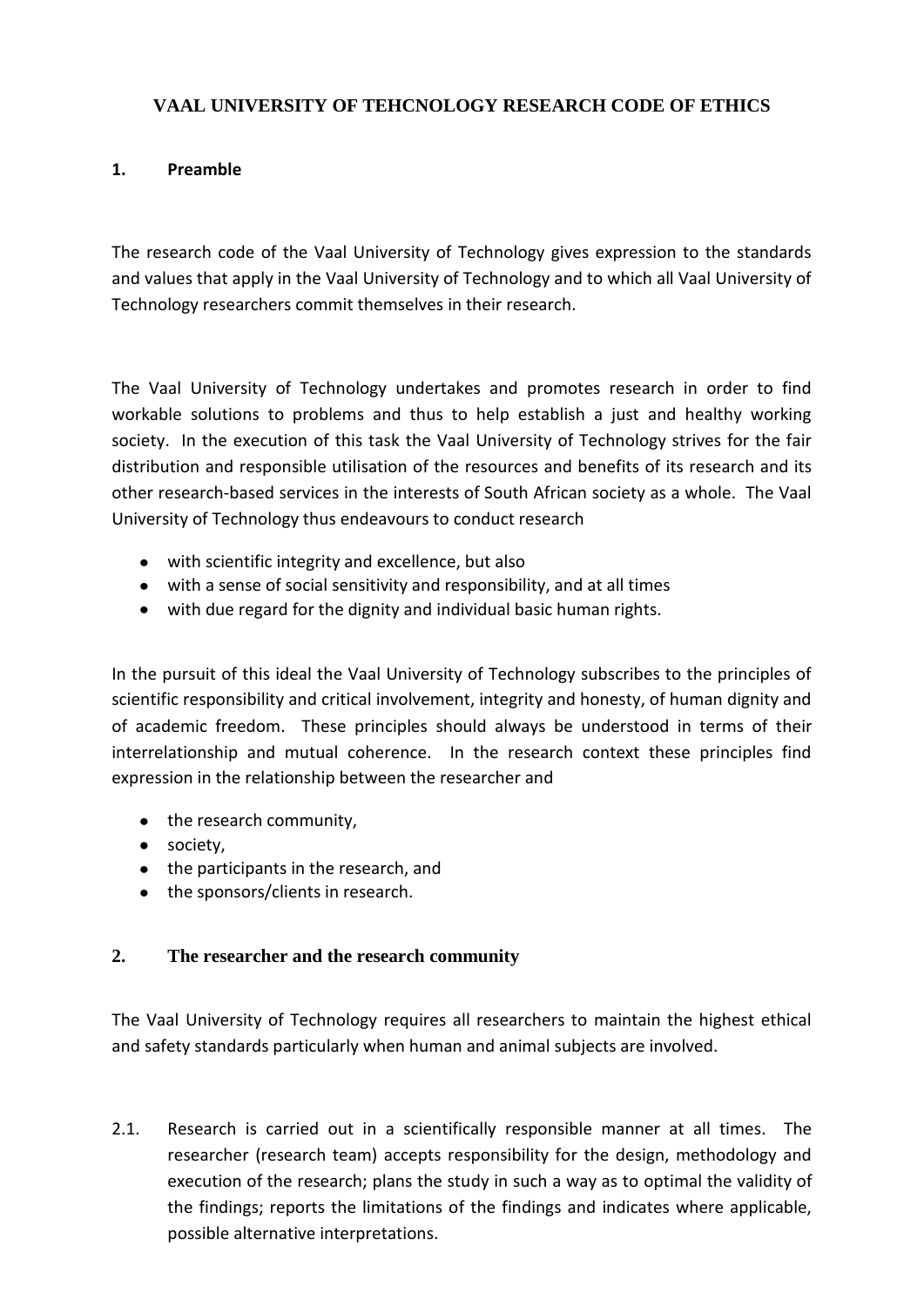# **VAAL UNIVERSITY OF TEHCNOLOGY RESEARCH CODE OF ETHICS**

# **1. Preamble**

The research code of the Vaal University of Technology gives expression to the standards and values that apply in the Vaal University of Technology and to which all Vaal University of Technology researchers commit themselves in their research.

The Vaal University of Technology undertakes and promotes research in order to find workable solutions to problems and thus to help establish a just and healthy working society. In the execution of this task the Vaal University of Technology strives for the fair distribution and responsible utilisation of the resources and benefits of its research and its other research-based services in the interests of South African society as a whole. The Vaal University of Technology thus endeavours to conduct research

- with scientific integrity and excellence, but also
- with a sense of social sensitivity and responsibility, and at all times
- with due regard for the dignity and individual basic human rights.

In the pursuit of this ideal the Vaal University of Technology subscribes to the principles of scientific responsibility and critical involvement, integrity and honesty, of human dignity and of academic freedom. These principles should always be understood in terms of their interrelationship and mutual coherence. In the research context these principles find expression in the relationship between the researcher and

- the research community,
- society,
- the participants in the research, and
- the sponsors/clients in research.

# **2. The researcher and the research community**

The Vaal University of Technology requires all researchers to maintain the highest ethical and safety standards particularly when human and animal subjects are involved.

2.1. Research is carried out in a scientifically responsible manner at all times. The researcher (research team) accepts responsibility for the design, methodology and execution of the research; plans the study in such a way as to optimal the validity of the findings; reports the limitations of the findings and indicates where applicable, possible alternative interpretations.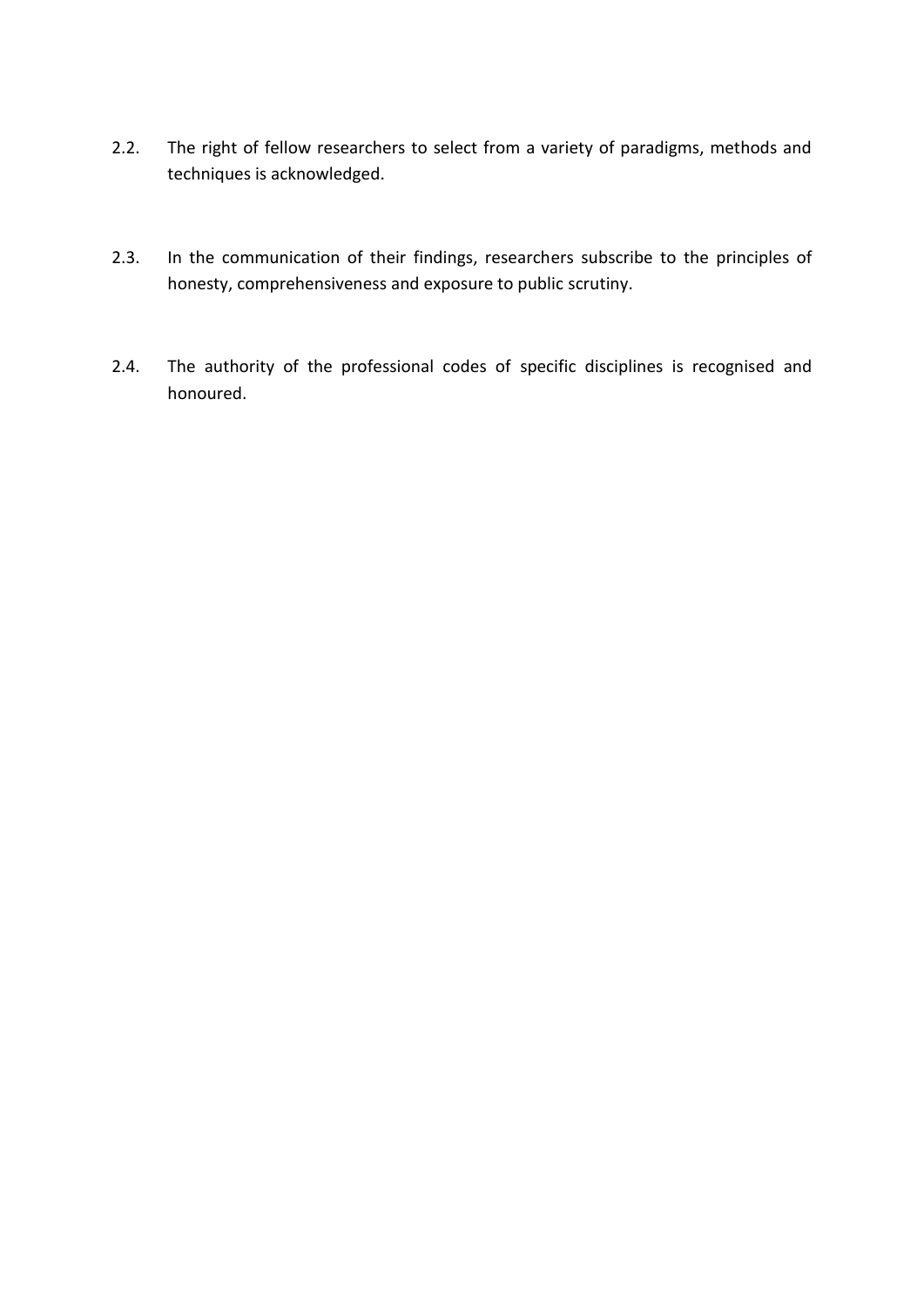- 2.2. The right of fellow researchers to select from a variety of paradigms, methods and techniques is acknowledged.
- 2.3. In the communication of their findings, researchers subscribe to the principles of honesty, comprehensiveness and exposure to public scrutiny.
- 2.4. The authority of the professional codes of specific disciplines is recognised and honoured.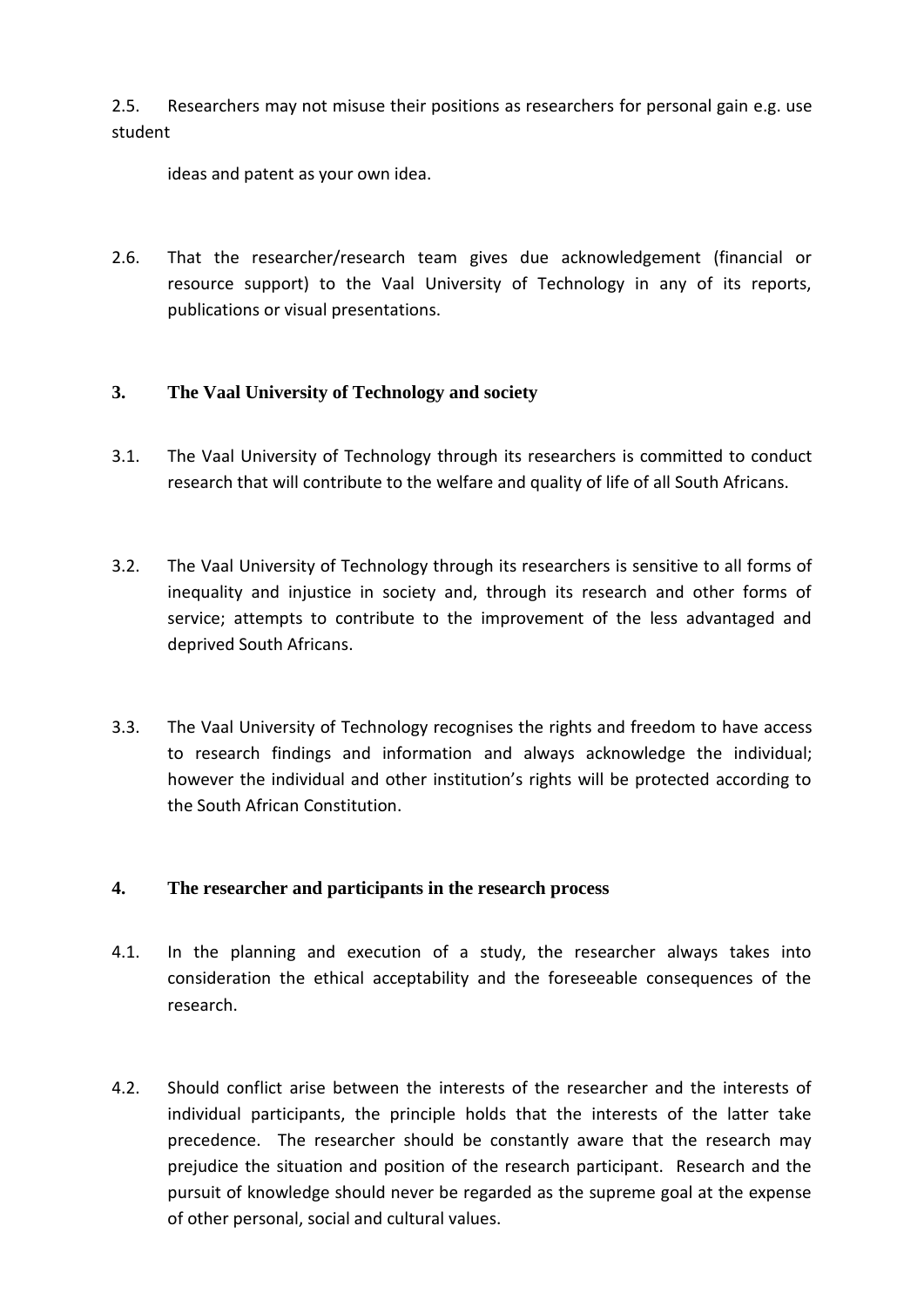2.5. Researchers may not misuse their positions as researchers for personal gain e.g. use student

ideas and patent as your own idea.

2.6. That the researcher/research team gives due acknowledgement (financial or resource support) to the Vaal University of Technology in any of its reports, publications or visual presentations.

# **3. The Vaal University of Technology and society**

- 3.1. The Vaal University of Technology through its researchers is committed to conduct research that will contribute to the welfare and quality of life of all South Africans.
- 3.2. The Vaal University of Technology through its researchers is sensitive to all forms of inequality and injustice in society and, through its research and other forms of service; attempts to contribute to the improvement of the less advantaged and deprived South Africans.
- 3.3. The Vaal University of Technology recognises the rights and freedom to have access to research findings and information and always acknowledge the individual; however the individual and other institution's rights will be protected according to the South African Constitution.

# **4. The researcher and participants in the research process**

- 4.1. In the planning and execution of a study, the researcher always takes into consideration the ethical acceptability and the foreseeable consequences of the research.
- 4.2. Should conflict arise between the interests of the researcher and the interests of individual participants, the principle holds that the interests of the latter take precedence. The researcher should be constantly aware that the research may prejudice the situation and position of the research participant. Research and the pursuit of knowledge should never be regarded as the supreme goal at the expense of other personal, social and cultural values.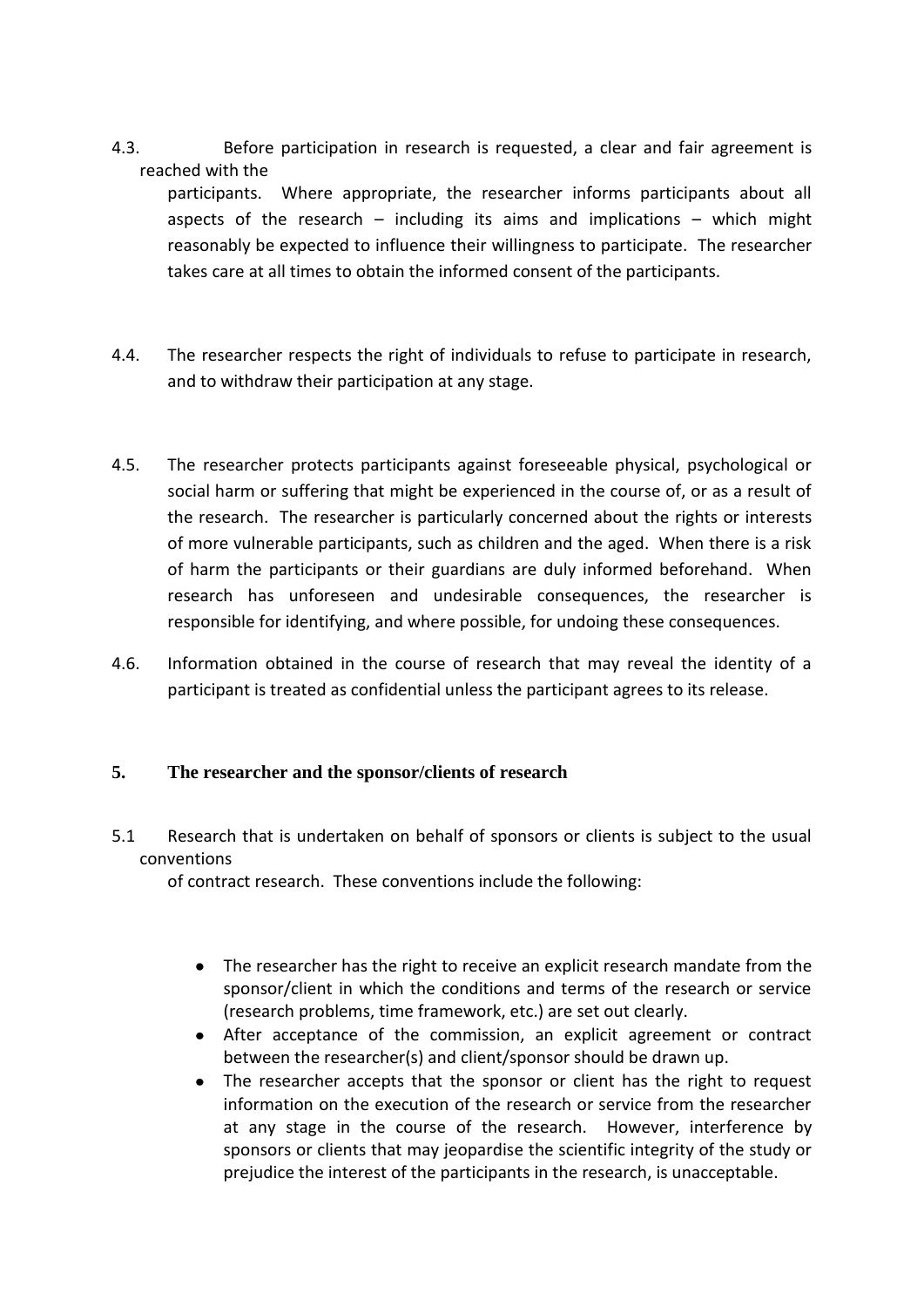4.3. Before participation in research is requested, a clear and fair agreement is reached with the

participants. Where appropriate, the researcher informs participants about all aspects of the research  $-$  including its aims and implications  $-$  which might reasonably be expected to influence their willingness to participate. The researcher takes care at all times to obtain the informed consent of the participants.

- 4.4. The researcher respects the right of individuals to refuse to participate in research, and to withdraw their participation at any stage.
- 4.5. The researcher protects participants against foreseeable physical, psychological or social harm or suffering that might be experienced in the course of, or as a result of the research. The researcher is particularly concerned about the rights or interests of more vulnerable participants, such as children and the aged. When there is a risk of harm the participants or their guardians are duly informed beforehand. When research has unforeseen and undesirable consequences, the researcher is responsible for identifying, and where possible, for undoing these consequences.
- 4.6. Information obtained in the course of research that may reveal the identity of a participant is treated as confidential unless the participant agrees to its release.

# **5. The researcher and the sponsor/clients of research**

5.1 Research that is undertaken on behalf of sponsors or clients is subject to the usual conventions

of contract research. These conventions include the following:

- The researcher has the right to receive an explicit research mandate from the sponsor/client in which the conditions and terms of the research or service (research problems, time framework, etc.) are set out clearly.
- After acceptance of the commission, an explicit agreement or contract between the researcher(s) and client/sponsor should be drawn up.
- The researcher accepts that the sponsor or client has the right to request information on the execution of the research or service from the researcher at any stage in the course of the research. However, interference by sponsors or clients that may jeopardise the scientific integrity of the study or prejudice the interest of the participants in the research, is unacceptable.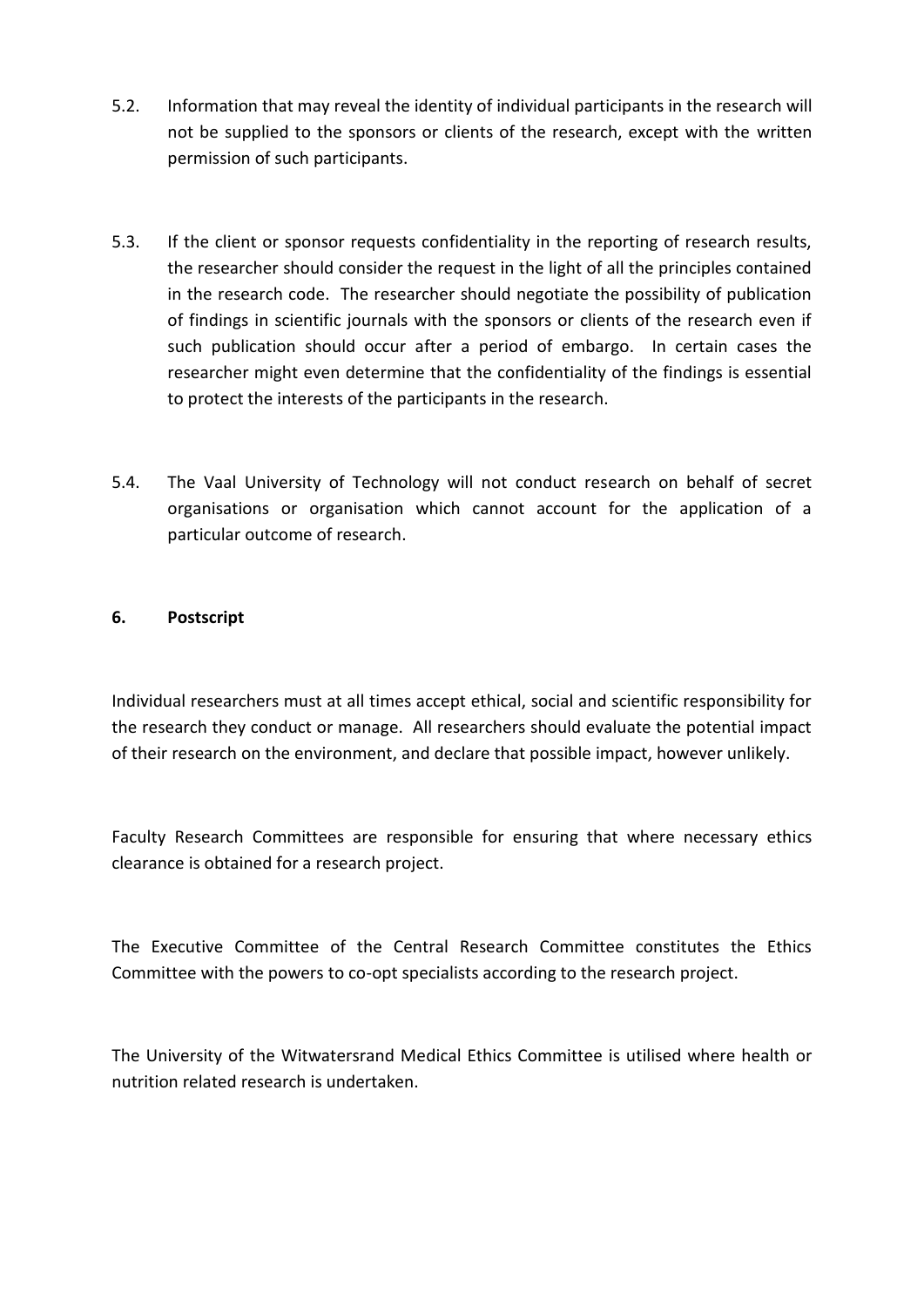- 5.2. Information that may reveal the identity of individual participants in the research will not be supplied to the sponsors or clients of the research, except with the written permission of such participants.
- 5.3. If the client or sponsor requests confidentiality in the reporting of research results, the researcher should consider the request in the light of all the principles contained in the research code. The researcher should negotiate the possibility of publication of findings in scientific journals with the sponsors or clients of the research even if such publication should occur after a period of embargo. In certain cases the researcher might even determine that the confidentiality of the findings is essential to protect the interests of the participants in the research.
- 5.4. The Vaal University of Technology will not conduct research on behalf of secret organisations or organisation which cannot account for the application of a particular outcome of research.

# **6. Postscript**

Individual researchers must at all times accept ethical, social and scientific responsibility for the research they conduct or manage. All researchers should evaluate the potential impact of their research on the environment, and declare that possible impact, however unlikely.

Faculty Research Committees are responsible for ensuring that where necessary ethics clearance is obtained for a research project.

The Executive Committee of the Central Research Committee constitutes the Ethics Committee with the powers to co-opt specialists according to the research project.

The University of the Witwatersrand Medical Ethics Committee is utilised where health or nutrition related research is undertaken.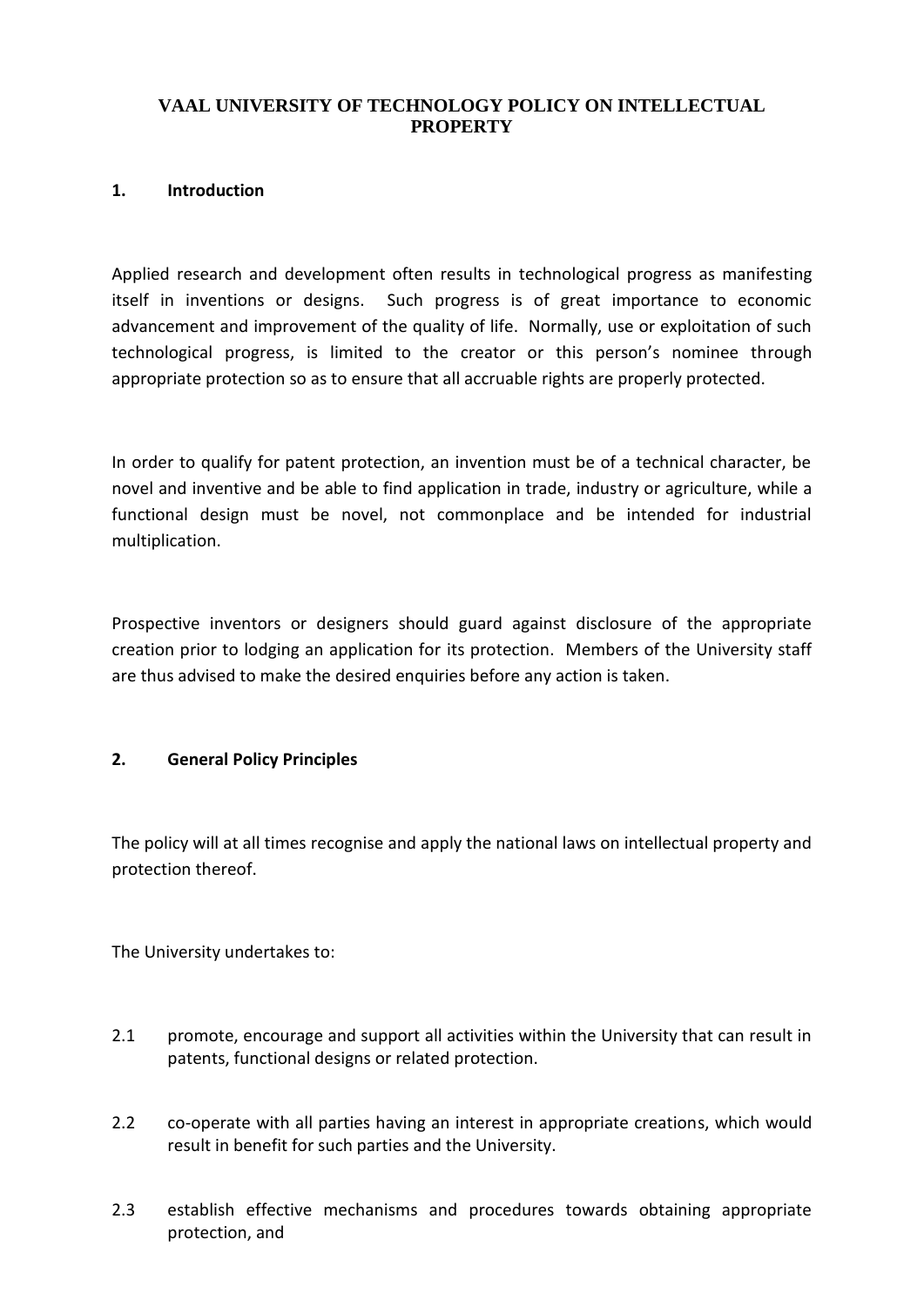# **VAAL UNIVERSITY OF TECHNOLOGY POLICY ON INTELLECTUAL PROPERTY**

# **1. Introduction**

Applied research and development often results in technological progress as manifesting itself in inventions or designs. Such progress is of great importance to economic advancement and improvement of the quality of life. Normally, use or exploitation of such technological progress, is limited to the creator or this person's nominee through appropriate protection so as to ensure that all accruable rights are properly protected.

In order to qualify for patent protection, an invention must be of a technical character, be novel and inventive and be able to find application in trade, industry or agriculture, while a functional design must be novel, not commonplace and be intended for industrial multiplication.

Prospective inventors or designers should guard against disclosure of the appropriate creation prior to lodging an application for its protection. Members of the University staff are thus advised to make the desired enquiries before any action is taken.

# **2. General Policy Principles**

The policy will at all times recognise and apply the national laws on intellectual property and protection thereof.

The University undertakes to:

- 2.1 promote, encourage and support all activities within the University that can result in patents, functional designs or related protection.
- 2.2 co-operate with all parties having an interest in appropriate creations, which would result in benefit for such parties and the University.
- 2.3 establish effective mechanisms and procedures towards obtaining appropriate protection, and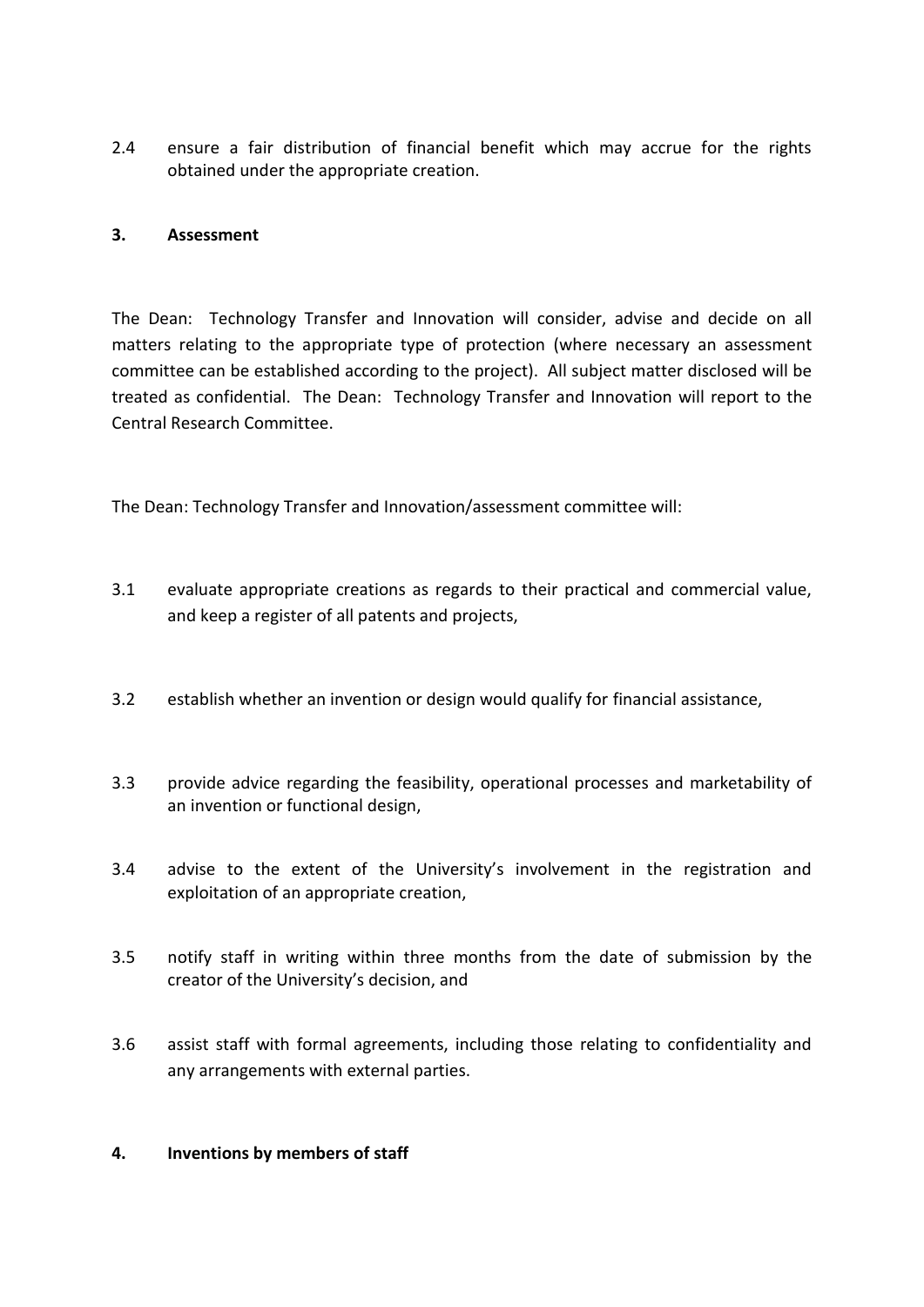2.4 ensure a fair distribution of financial benefit which may accrue for the rights obtained under the appropriate creation.

#### **3. Assessment**

The Dean: Technology Transfer and Innovation will consider, advise and decide on all matters relating to the appropriate type of protection (where necessary an assessment committee can be established according to the project). All subject matter disclosed will be treated as confidential. The Dean: Technology Transfer and Innovation will report to the Central Research Committee.

The Dean: Technology Transfer and Innovation/assessment committee will:

- 3.1 evaluate appropriate creations as regards to their practical and commercial value, and keep a register of all patents and projects,
- 3.2 establish whether an invention or design would qualify for financial assistance,
- 3.3 provide advice regarding the feasibility, operational processes and marketability of an invention or functional design,
- 3.4 advise to the extent of the University's involvement in the registration and exploitation of an appropriate creation,
- 3.5 notify staff in writing within three months from the date of submission by the creator of the University's decision, and
- 3.6 assist staff with formal agreements, including those relating to confidentiality and any arrangements with external parties.

#### **4. Inventions by members of staff**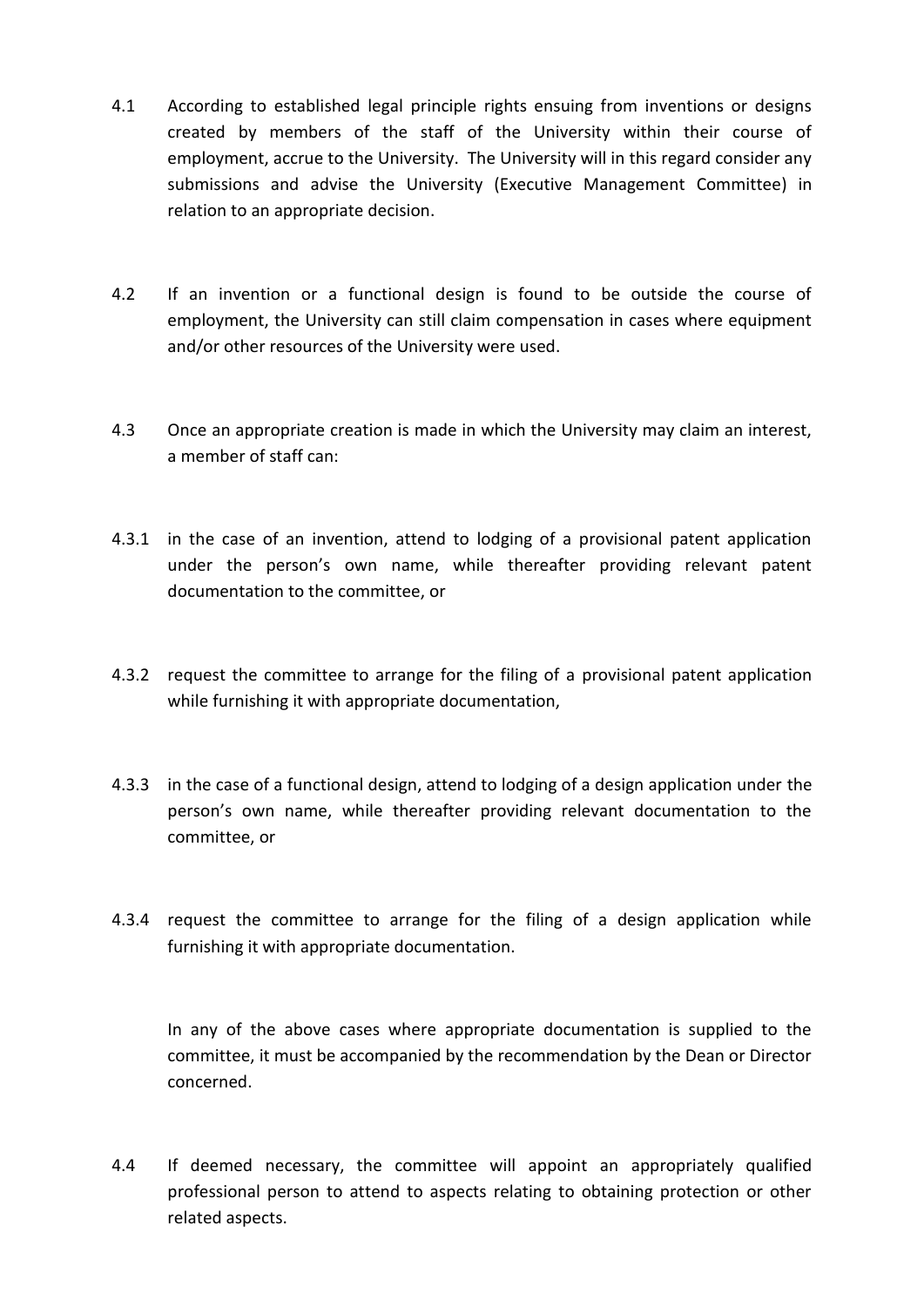- 4.1 According to established legal principle rights ensuing from inventions or designs created by members of the staff of the University within their course of employment, accrue to the University. The University will in this regard consider any submissions and advise the University (Executive Management Committee) in relation to an appropriate decision.
- 4.2 If an invention or a functional design is found to be outside the course of employment, the University can still claim compensation in cases where equipment and/or other resources of the University were used.
- 4.3 Once an appropriate creation is made in which the University may claim an interest, a member of staff can:
- 4.3.1 in the case of an invention, attend to lodging of a provisional patent application under the person's own name, while thereafter providing relevant patent documentation to the committee, or
- 4.3.2 request the committee to arrange for the filing of a provisional patent application while furnishing it with appropriate documentation,
- 4.3.3 in the case of a functional design, attend to lodging of a design application under the person's own name, while thereafter providing relevant documentation to the committee, or
- 4.3.4 request the committee to arrange for the filing of a design application while furnishing it with appropriate documentation.

In any of the above cases where appropriate documentation is supplied to the committee, it must be accompanied by the recommendation by the Dean or Director concerned.

4.4 If deemed necessary, the committee will appoint an appropriately qualified professional person to attend to aspects relating to obtaining protection or other related aspects.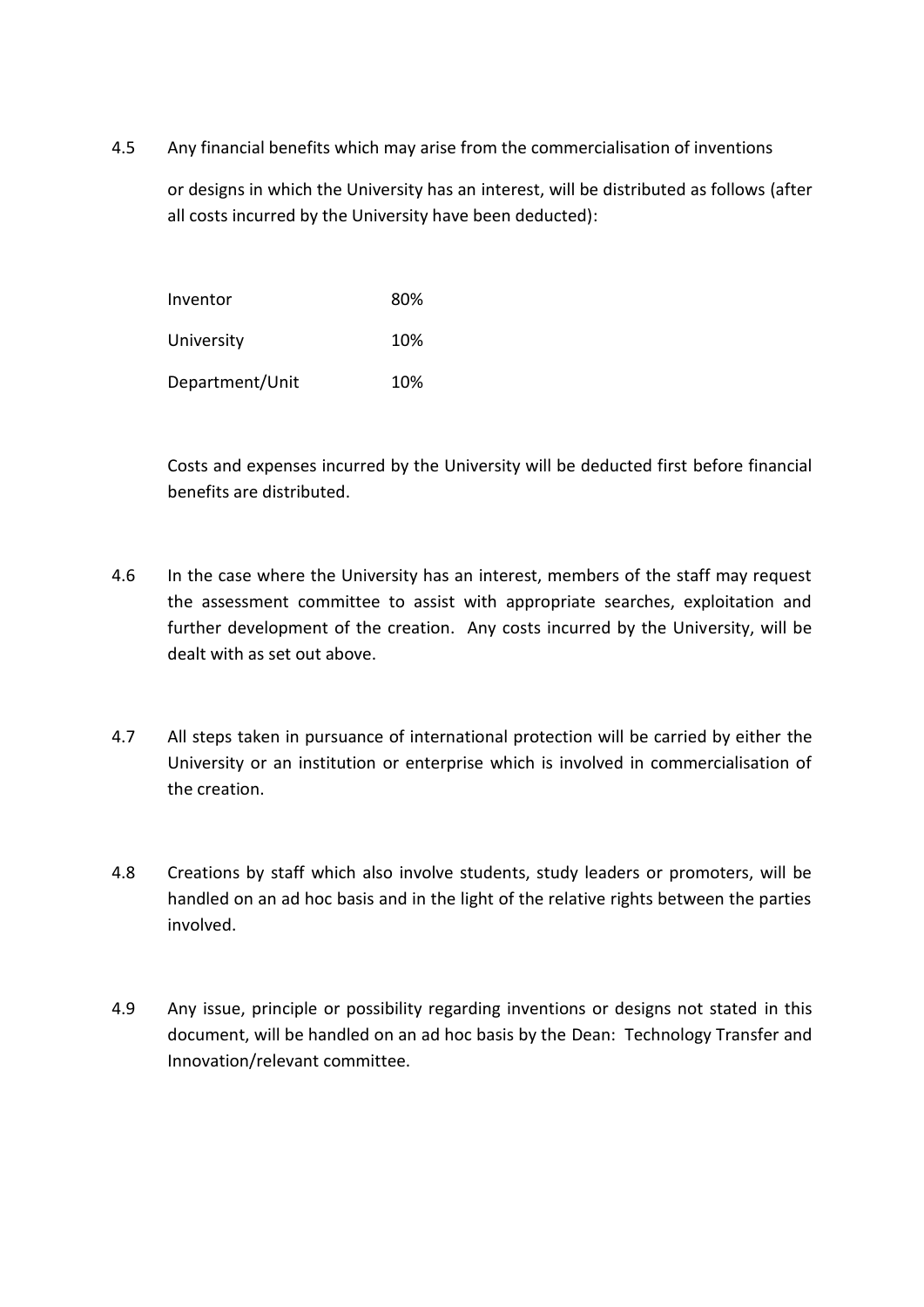4.5 Any financial benefits which may arise from the commercialisation of inventions

or designs in which the University has an interest, will be distributed as follows (after all costs incurred by the University have been deducted):

| Inventor        | 80% |
|-----------------|-----|
| University      | 10% |
| Department/Unit | 10% |

Costs and expenses incurred by the University will be deducted first before financial benefits are distributed.

- 4.6 In the case where the University has an interest, members of the staff may request the assessment committee to assist with appropriate searches, exploitation and further development of the creation. Any costs incurred by the University, will be dealt with as set out above.
- 4.7 All steps taken in pursuance of international protection will be carried by either the University or an institution or enterprise which is involved in commercialisation of the creation.
- 4.8 Creations by staff which also involve students, study leaders or promoters, will be handled on an ad hoc basis and in the light of the relative rights between the parties involved.
- 4.9 Any issue, principle or possibility regarding inventions or designs not stated in this document, will be handled on an ad hoc basis by the Dean: Technology Transfer and Innovation/relevant committee.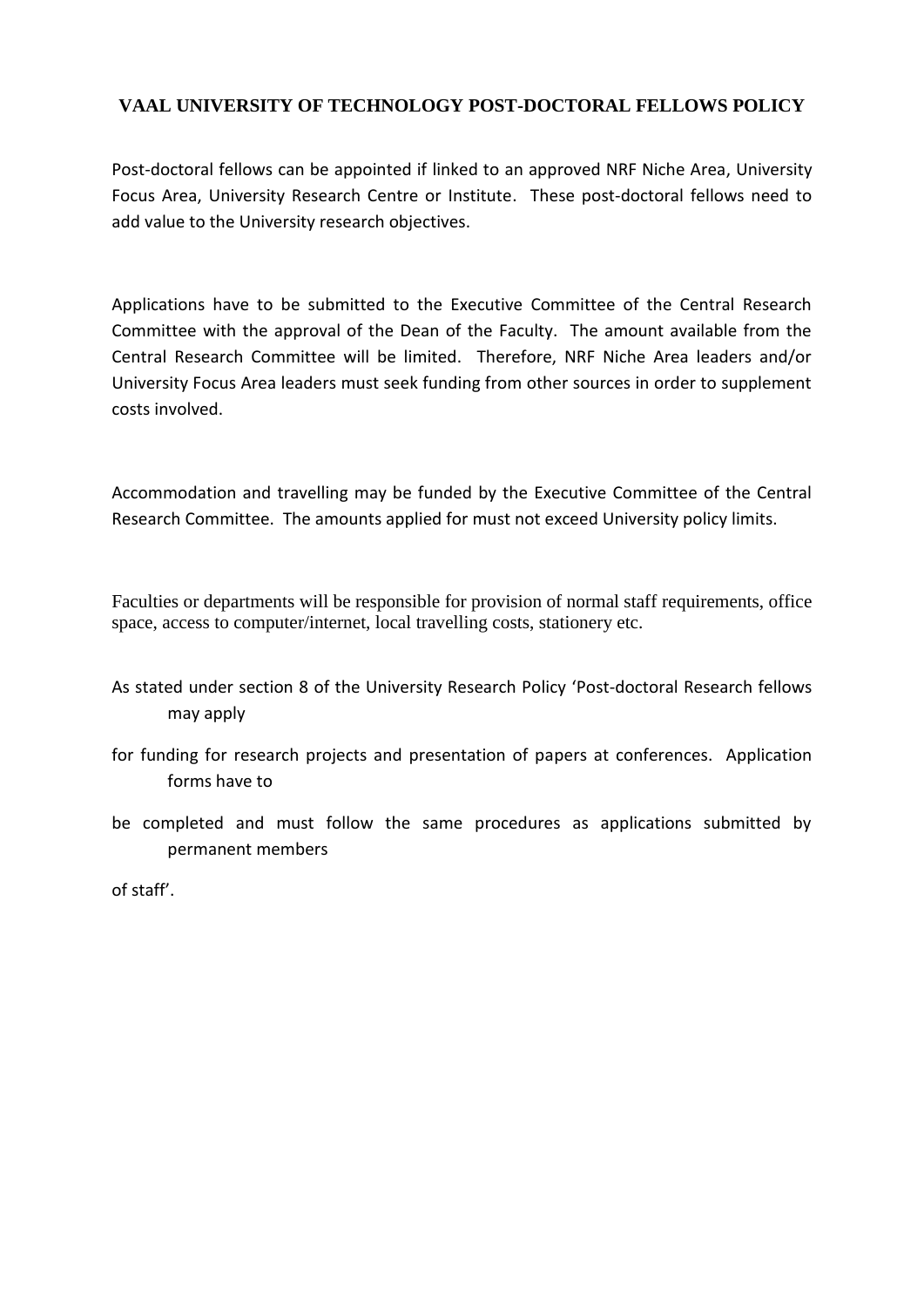# **VAAL UNIVERSITY OF TECHNOLOGY POST-DOCTORAL FELLOWS POLICY**

Post-doctoral fellows can be appointed if linked to an approved NRF Niche Area, University Focus Area, University Research Centre or Institute. These post-doctoral fellows need to add value to the University research objectives.

Applications have to be submitted to the Executive Committee of the Central Research Committee with the approval of the Dean of the Faculty. The amount available from the Central Research Committee will be limited. Therefore, NRF Niche Area leaders and/or University Focus Area leaders must seek funding from other sources in order to supplement costs involved.

Accommodation and travelling may be funded by the Executive Committee of the Central Research Committee. The amounts applied for must not exceed University policy limits.

Faculties or departments will be responsible for provision of normal staff requirements, office space, access to computer/internet, local travelling costs, stationery etc.

- As stated under section 8 of the University Research Policy 'Post-doctoral Research fellows may apply
- for funding for research projects and presentation of papers at conferences. Application forms have to
- be completed and must follow the same procedures as applications submitted by permanent members

of staff'.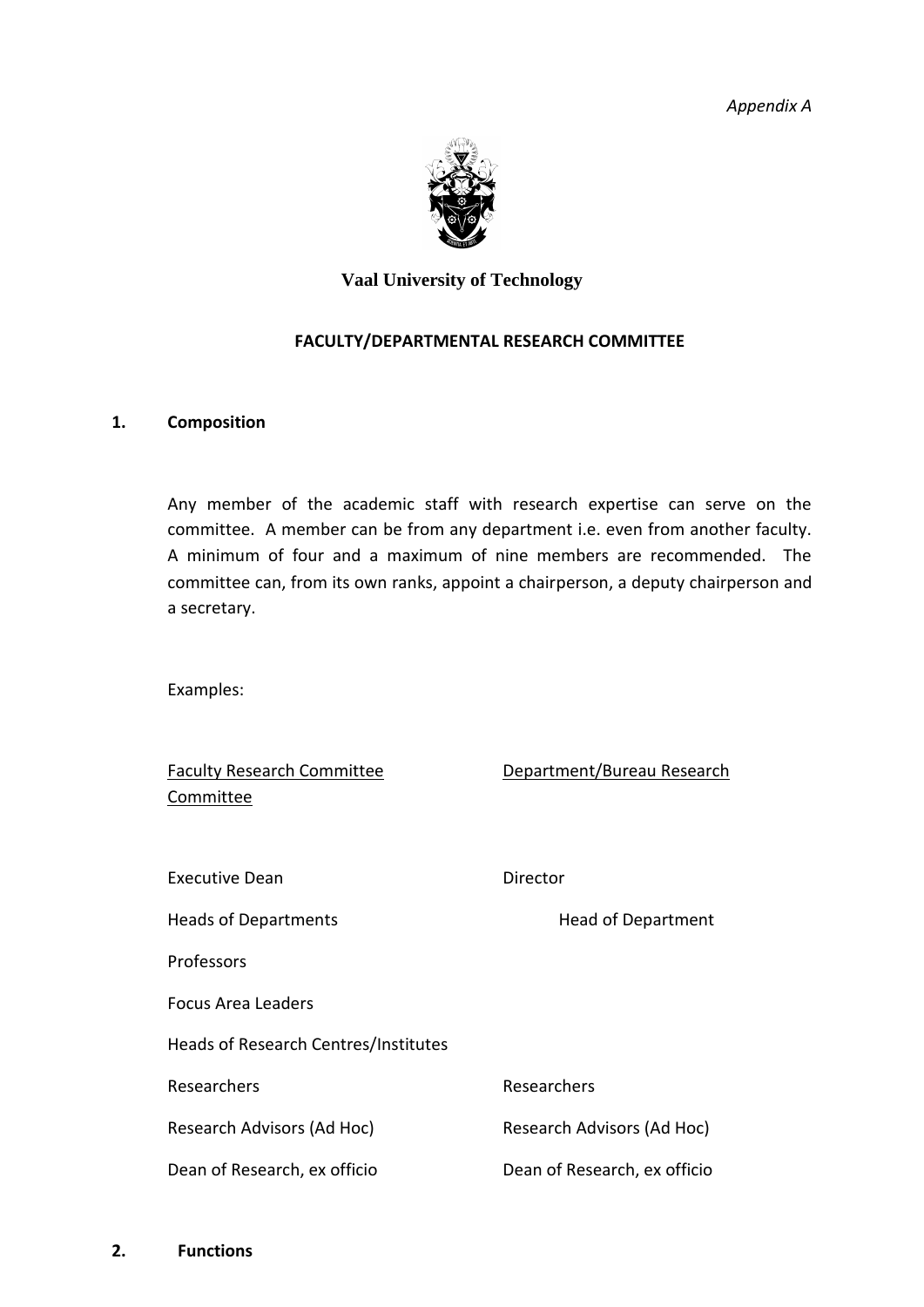*Appendix A*



# **Vaal University of Technology**

#### **FACULTY/DEPARTMENTAL RESEARCH COMMITTEE**

#### **1. Composition**

Any member of the academic staff with research expertise can serve on the committee. A member can be from any department i.e. even from another faculty. A minimum of four and a maximum of nine members are recommended. The committee can, from its own ranks, appoint a chairperson, a deputy chairperson and a secretary.

Examples:

| <b>Faculty Research Committee</b><br><b>Committee</b> | Department/Bureau Research   |
|-------------------------------------------------------|------------------------------|
| <b>Executive Dean</b>                                 | Director                     |
| Heads of Departments                                  | Head of Department           |
| Professors                                            |                              |
| <b>Focus Area Leaders</b>                             |                              |
| Heads of Research Centres/Institutes                  |                              |
| Researchers                                           | Researchers                  |
| Research Advisors (Ad Hoc)                            | Research Advisors (Ad Hoc)   |
| Dean of Research, ex officio                          | Dean of Research, ex officio |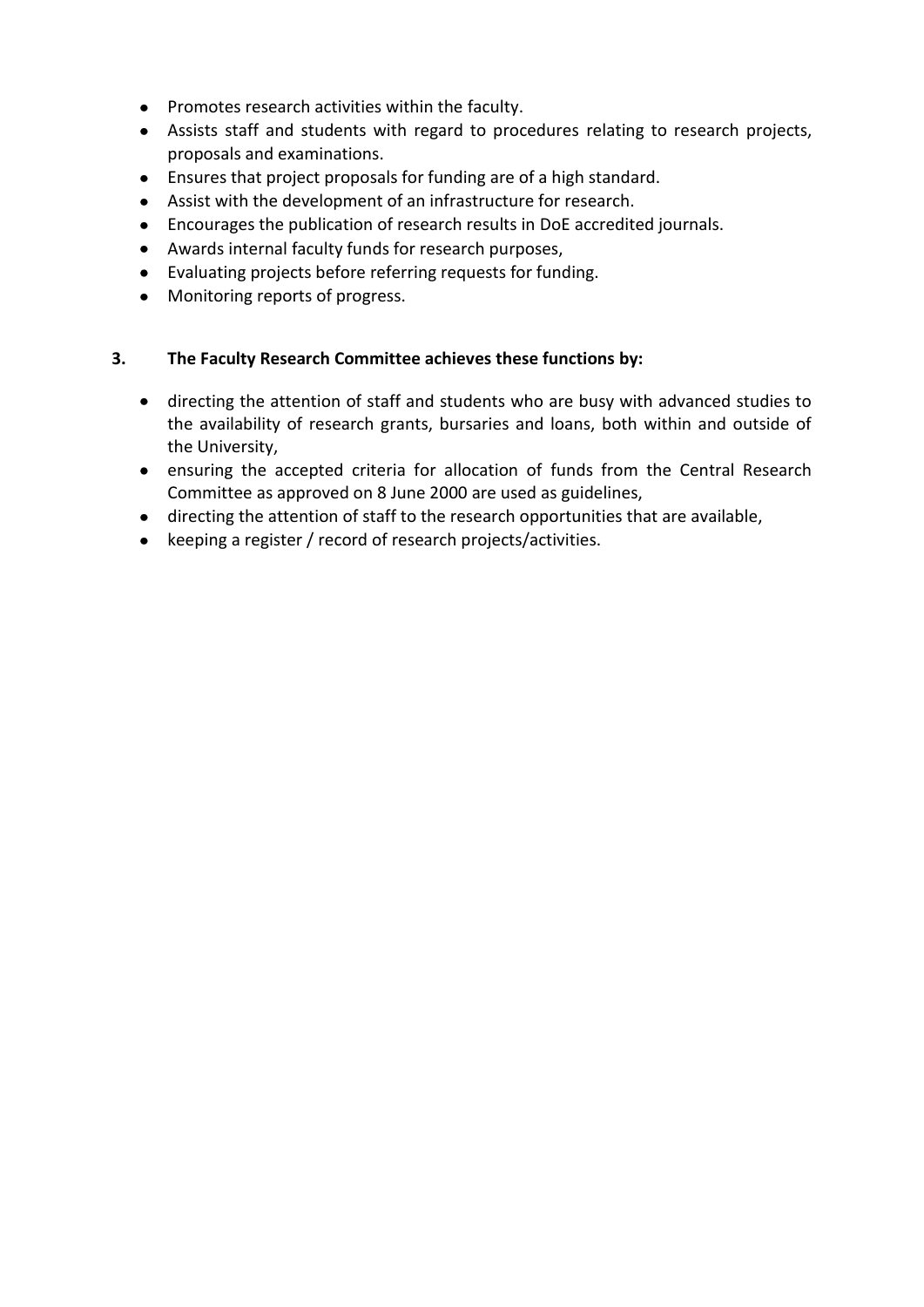- Promotes research activities within the faculty.
- Assists staff and students with regard to procedures relating to research projects, proposals and examinations.
- Ensures that project proposals for funding are of a high standard.
- Assist with the development of an infrastructure for research.
- Encourages the publication of research results in DoE accredited journals.
- Awards internal faculty funds for research purposes,
- Evaluating projects before referring requests for funding.
- Monitoring reports of progress.

# **3. The Faculty Research Committee achieves these functions by:**

- directing the attention of staff and students who are busy with advanced studies to the availability of research grants, bursaries and loans, both within and outside of the University,
- ensuring the accepted criteria for allocation of funds from the Central Research Committee as approved on 8 June 2000 are used as guidelines,
- directing the attention of staff to the research opportunities that are available,
- keeping a register / record of research projects/activities.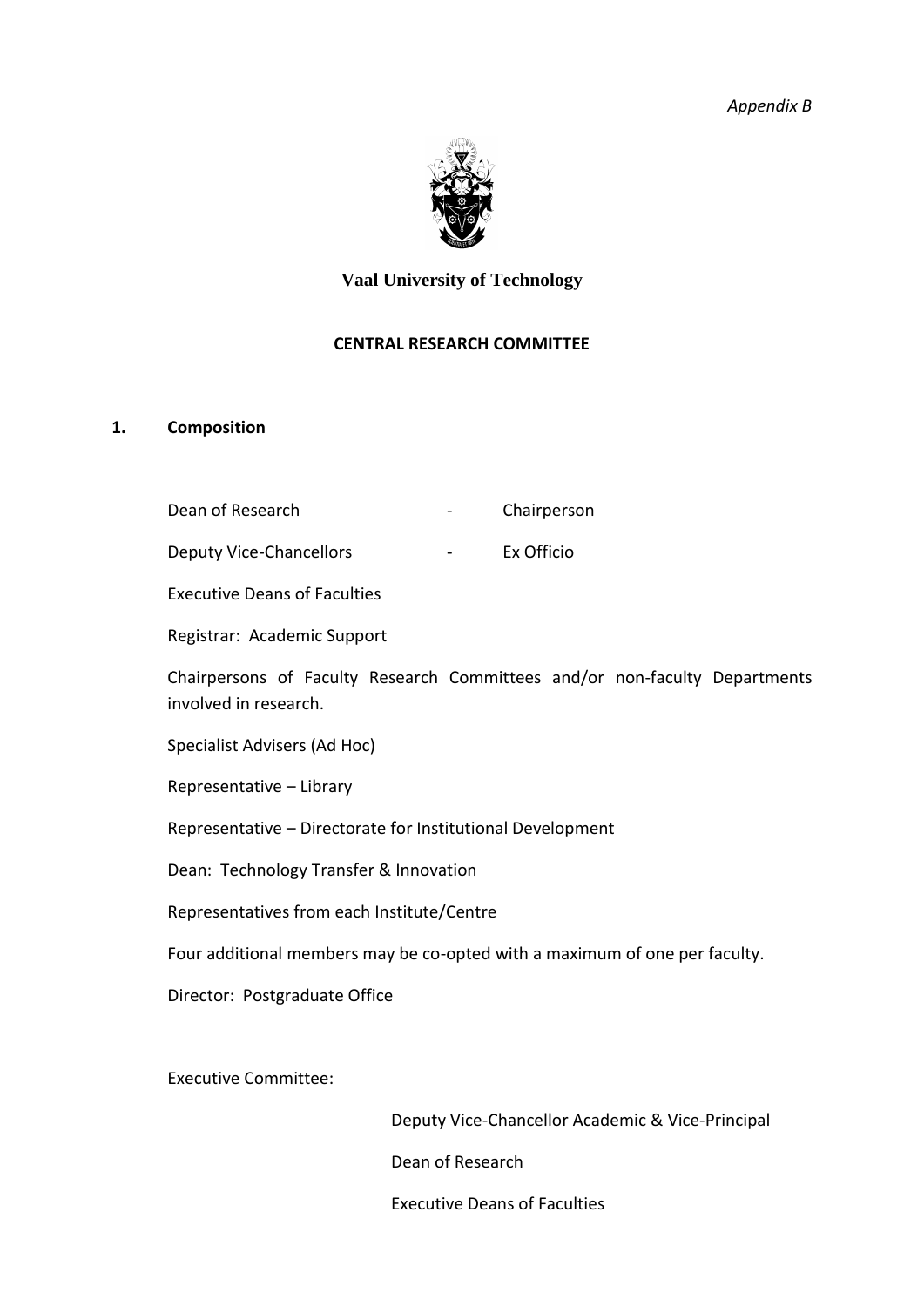*Appendix B*



# **Vaal University of Technology**

#### **CENTRAL RESEARCH COMMITTEE**

#### **1. Composition**

| Dean of Research |  | Chairperson |
|------------------|--|-------------|
|------------------|--|-------------|

Deputy Vice-Chancellors **Canadia - Ex Officio** 

Executive Deans of Faculties

Registrar: Academic Support

Chairpersons of Faculty Research Committees and/or non-faculty Departments involved in research.

Specialist Advisers (Ad Hoc)

Representative – Library

Representative – Directorate for Institutional Development

Dean: Technology Transfer & Innovation

Representatives from each Institute/Centre

Four additional members may be co-opted with a maximum of one per faculty.

Director: Postgraduate Office

Executive Committee:

Deputy Vice-Chancellor Academic & Vice-Principal Dean of Research

Executive Deans of Faculties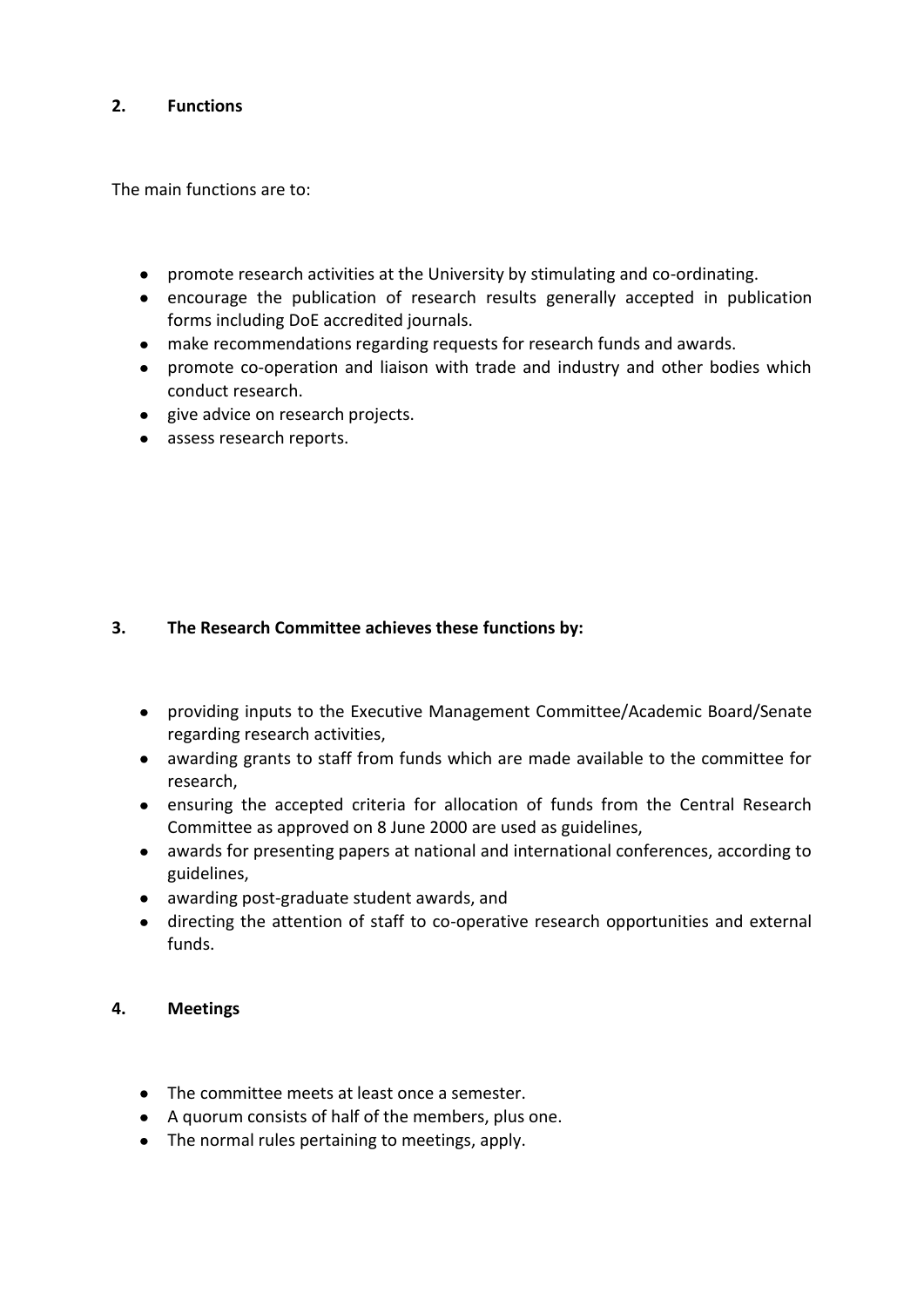#### **2. Functions**

The main functions are to:

- promote research activities at the University by stimulating and co-ordinating.
- encourage the publication of research results generally accepted in publication forms including DoE accredited journals.
- make recommendations regarding requests for research funds and awards.
- promote co-operation and liaison with trade and industry and other bodies which conduct research.
- give advice on research projects.
- assess research reports.

# **3. The Research Committee achieves these functions by:**

- providing inputs to the Executive Management Committee/Academic Board/Senate regarding research activities,
- awarding grants to staff from funds which are made available to the committee for research,
- ensuring the accepted criteria for allocation of funds from the Central Research Committee as approved on 8 June 2000 are used as guidelines,
- awards for presenting papers at national and international conferences, according to guidelines,
- awarding post-graduate student awards, and
- directing the attention of staff to co-operative research opportunities and external funds.

# **4. Meetings**

- The committee meets at least once a semester.
- A quorum consists of half of the members, plus one.
- The normal rules pertaining to meetings, apply.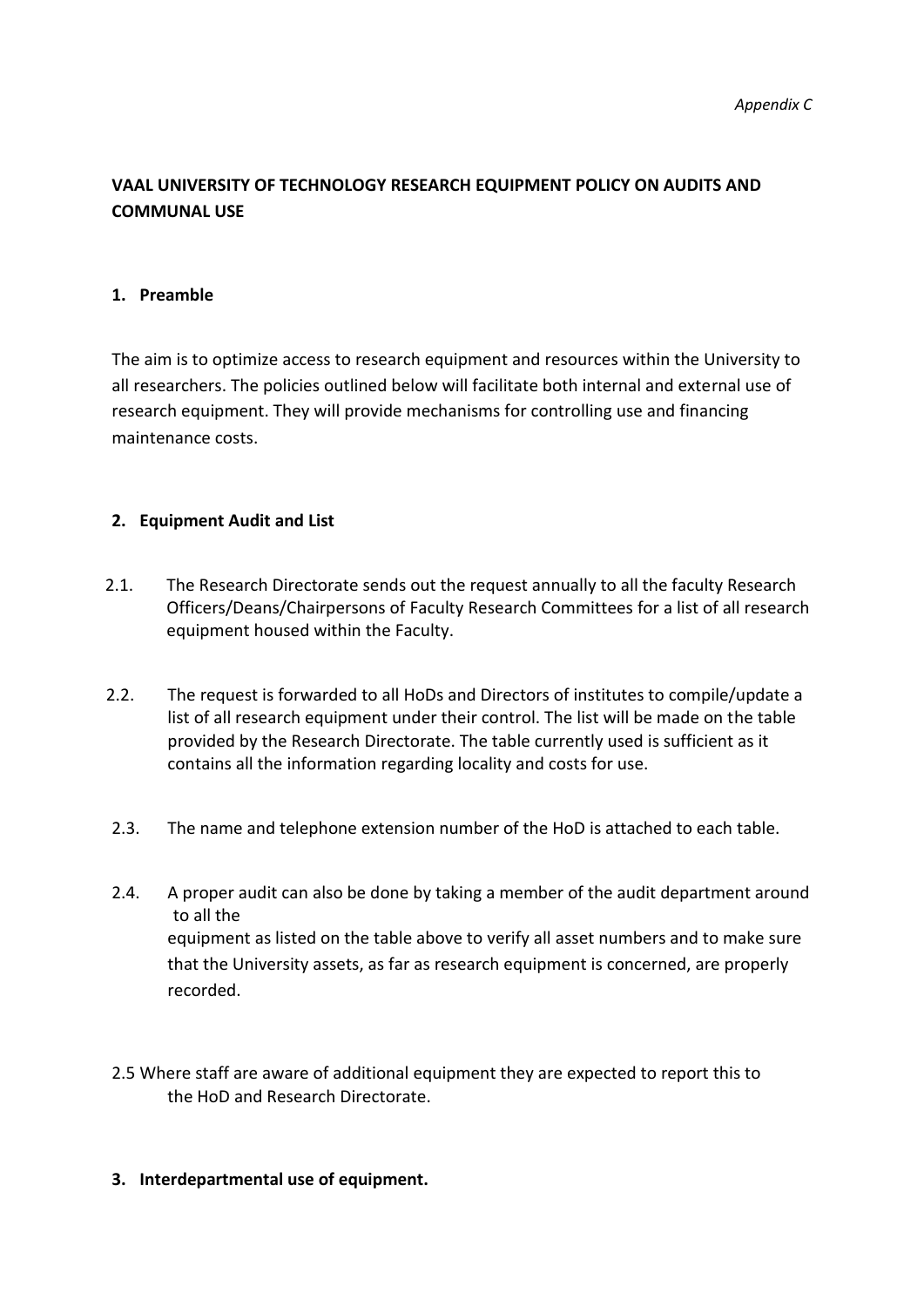# **VAAL UNIVERSITY OF TECHNOLOGY RESEARCH EQUIPMENT POLICY ON AUDITS AND COMMUNAL USE**

#### **1. Preamble**

The aim is to optimize access to research equipment and resources within the University to all researchers. The policies outlined below will facilitate both internal and external use of research equipment. They will provide mechanisms for controlling use and financing maintenance costs.

#### **2. Equipment Audit and List**

- 2.1. The Research Directorate sends out the request annually to all the faculty Research Officers/Deans/Chairpersons of Faculty Research Committees for a list of all research equipment housed within the Faculty.
- 2.2. The request is forwarded to all HoDs and Directors of institutes to compile/update a list of all research equipment under their control. The list will be made on the table provided by the Research Directorate. The table currently used is sufficient as it contains all the information regarding locality and costs for use.
- 2.3. The name and telephone extension number of the HoD is attached to each table.
- 2.4. A proper audit can also be done by taking a member of the audit department around to all the equipment as listed on the table above to verify all asset numbers and to make sure that the University assets, as far as research equipment is concerned, are properly recorded.
- 2.5 Where staff are aware of additional equipment they are expected to report this to the HoD and Research Directorate.
- **3. Interdepartmental use of equipment.**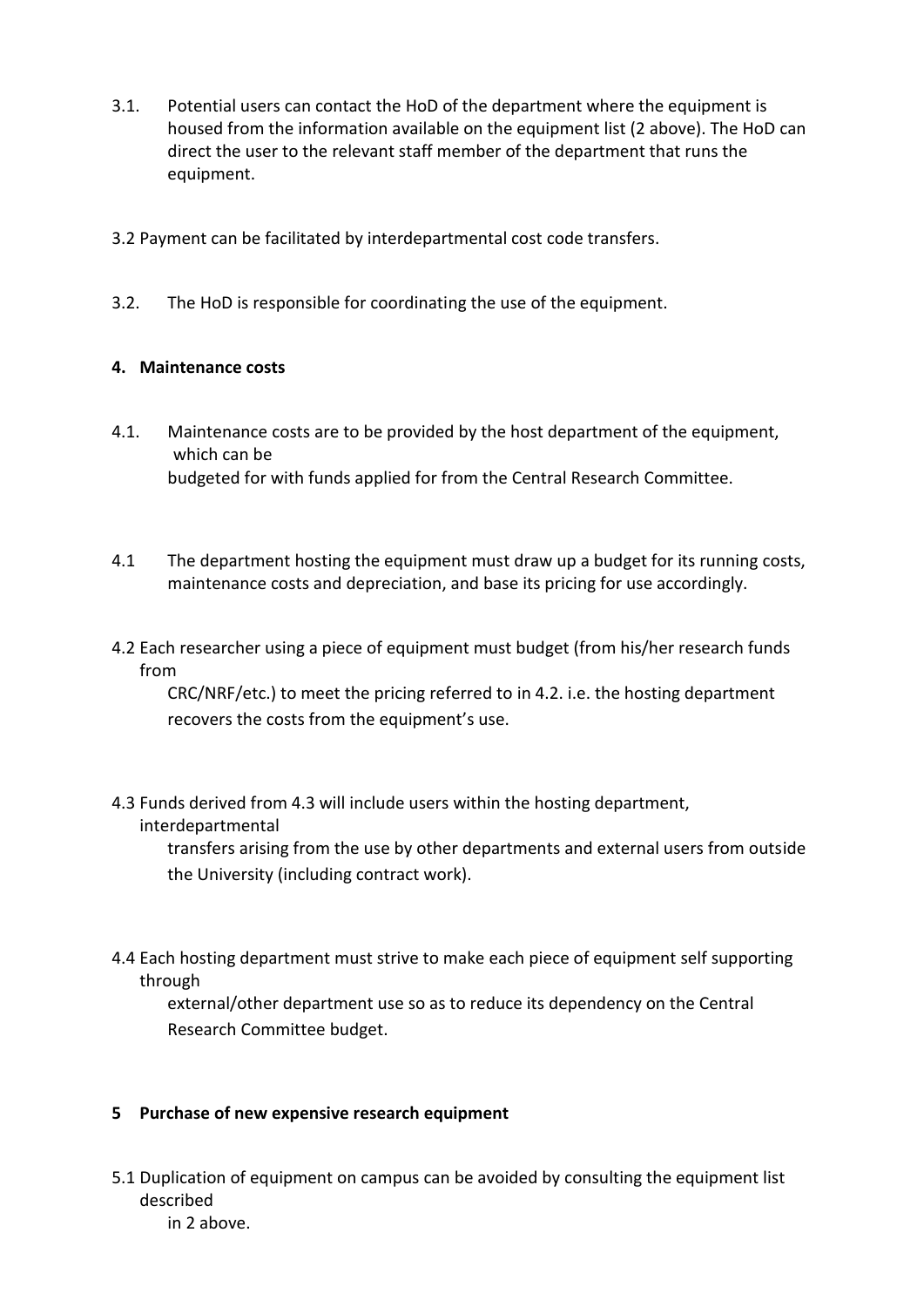- 3.1. Potential users can contact the HoD of the department where the equipment is housed from the information available on the equipment list (2 above). The HoD can direct the user to the relevant staff member of the department that runs the equipment.
- 3.2 Payment can be facilitated by interdepartmental cost code transfers.
- 3.2. The HoD is responsible for coordinating the use of the equipment.

# **4. Maintenance costs**

- 4.1. Maintenance costs are to be provided by the host department of the equipment, which can be budgeted for with funds applied for from the Central Research Committee.
- 4.1 The department hosting the equipment must draw up a budget for its running costs, maintenance costs and depreciation, and base its pricing for use accordingly.
- 4.2 Each researcher using a piece of equipment must budget (from his/her research funds from

CRC/NRF/etc.) to meet the pricing referred to in 4.2. i.e. the hosting department recovers the costs from the equipment's use.

#### 4.3 Funds derived from 4.3 will include users within the hosting department, interdepartmental

transfers arising from the use by other departments and external users from outside the University (including contract work).

4.4 Each hosting department must strive to make each piece of equipment self supporting through

external/other department use so as to reduce its dependency on the Central Research Committee budget.

# **5 Purchase of new expensive research equipment**

5.1 Duplication of equipment on campus can be avoided by consulting the equipment list described

in 2 above.